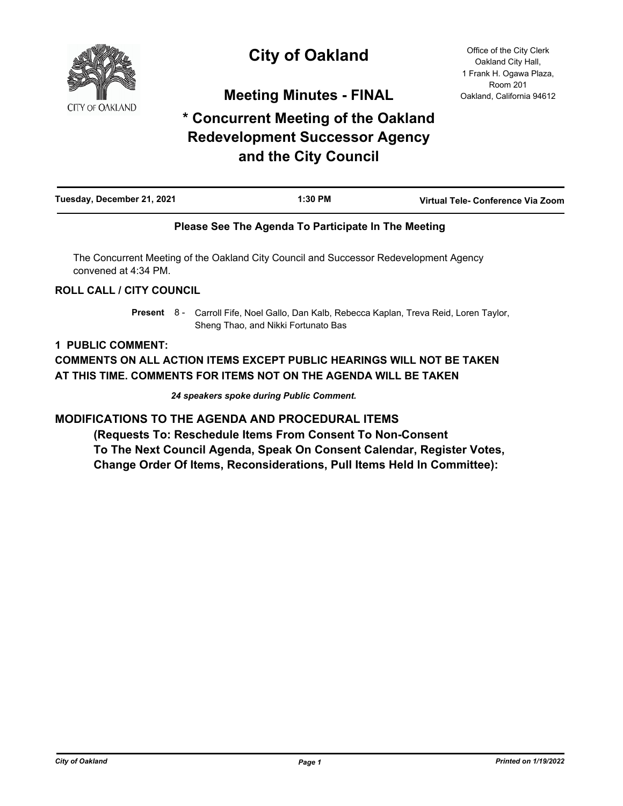

# **City of Oakland**

**Meeting Minutes - FINAL**

# **\* Concurrent Meeting of the Oakland Redevelopment Successor Agency and the City Council**

Office of the City Clerk Oakland City Hall, 1 Frank H. Ogawa Plaza, Room 201 Oakland, California 94612

| Tuesday, December 21, 2021 | 1:30 PM | Virtual Tele- Conference Via Zoom |
|----------------------------|---------|-----------------------------------|
|                            |         |                                   |

## **Please See The Agenda To Participate In The Meeting**

The Concurrent Meeting of the Oakland City Council and Successor Redevelopment Agency convened at 4:34 PM.

## **ROLL CALL / CITY COUNCIL**

Present 8 - Carroll Fife, Noel Gallo, Dan Kalb, Rebecca Kaplan, Treva Reid, Loren Taylor, Sheng Thao, and Nikki Fortunato Bas

## **1 PUBLIC COMMENT:**

**COMMENTS ON ALL ACTION ITEMS EXCEPT PUBLIC HEARINGS WILL NOT BE TAKEN AT THIS TIME. COMMENTS FOR ITEMS NOT ON THE AGENDA WILL BE TAKEN**

*24 speakers spoke during Public Comment.*

**MODIFICATIONS TO THE AGENDA AND PROCEDURAL ITEMS**

 **(Requests To: Reschedule Items From Consent To Non-Consent To The Next Council Agenda, Speak On Consent Calendar, Register Votes, Change Order Of Items, Reconsiderations, Pull Items Held In Committee):**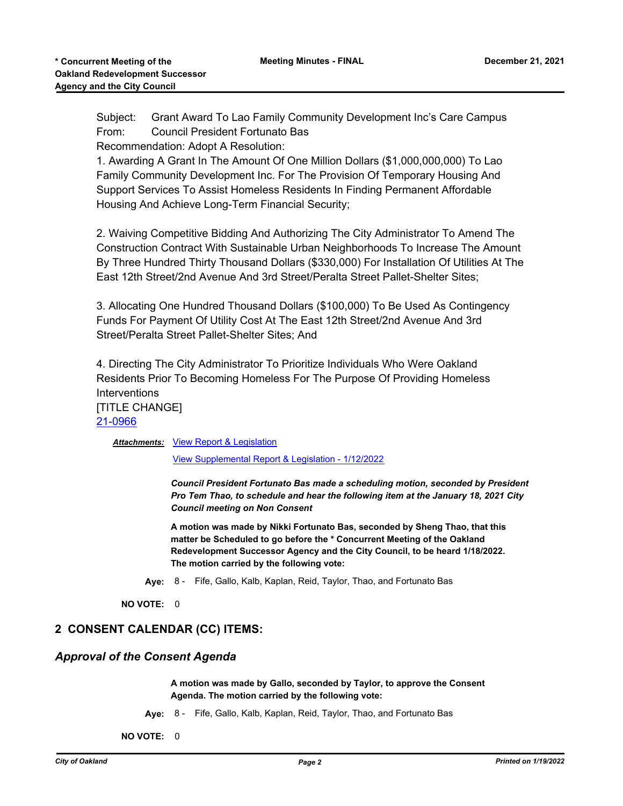Subject: Grant Award To Lao Family Community Development Inc's Care Campus From: Council President Fortunato Bas

Recommendation: Adopt A Resolution:

1. Awarding A Grant In The Amount Of One Million Dollars (\$1,000,000,000) To Lao Family Community Development Inc. For The Provision Of Temporary Housing And Support Services To Assist Homeless Residents In Finding Permanent Affordable Housing And Achieve Long-Term Financial Security;

2. Waiving Competitive Bidding And Authorizing The City Administrator To Amend The Construction Contract With Sustainable Urban Neighborhoods To Increase The Amount By Three Hundred Thirty Thousand Dollars (\$330,000) For Installation Of Utilities At The East 12th Street/2nd Avenue And 3rd Street/Peralta Street Pallet-Shelter Sites;

3. Allocating One Hundred Thousand Dollars (\$100,000) To Be Used As Contingency Funds For Payment Of Utility Cost At The East 12th Street/2nd Avenue And 3rd Street/Peralta Street Pallet-Shelter Sites; And

4. Directing The City Administrator To Prioritize Individuals Who Were Oakland Residents Prior To Becoming Homeless For The Purpose Of Providing Homeless Interventions [TITLE CHANGE] [21-0966](http://oakland.legistar.com/gateway.aspx?m=l&id=/matter.aspx?key=32890)

**Attachments: [View Report & Legislation](http://oakland.legistar.com/gateway.aspx?M=F&ID=60ecd314-b1db-4485-b5fc-08bb3877bb90.pdf)** 

[View Supplemental Report & Legislation - 1/12/2022](http://oakland.legistar.com/gateway.aspx?M=F&ID=2b52b1cc-1b37-47b1-88b0-aa9d7bfaef03.pdf)

*Council President Fortunato Bas made a scheduling motion, seconded by President Pro Tem Thao, to schedule and hear the following item at the January 18, 2021 City Council meeting on Non Consent*

**A motion was made by Nikki Fortunato Bas, seconded by Sheng Thao, that this matter be Scheduled to go before the \* Concurrent Meeting of the Oakland Redevelopment Successor Agency and the City Council, to be heard 1/18/2022. The motion carried by the following vote:**

**Aye:** 8 - Fife, Gallo, Kalb, Kaplan, Reid, Taylor, Thao, and Fortunato Bas

**NO VOTE:** 0

# **2 CONSENT CALENDAR (CC) ITEMS:**

# *Approval of the Consent Agenda*

**A motion was made by Gallo, seconded by Taylor, to approve the Consent Agenda. The motion carried by the following vote:**

**Aye:** 8 - Fife, Gallo, Kalb, Kaplan, Reid, Taylor, Thao, and Fortunato Bas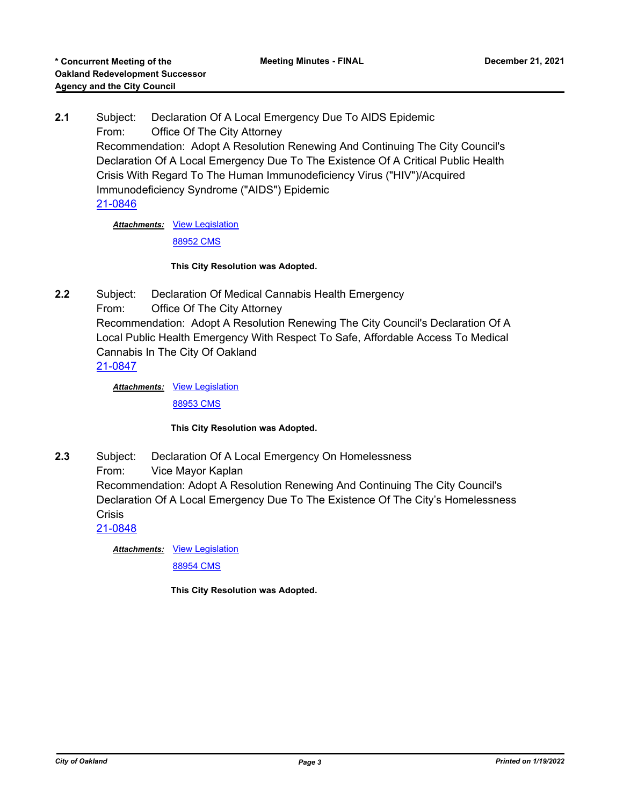**2.1** Subject: Declaration Of A Local Emergency Due To AIDS Epidemic From: Office Of The City Attorney Recommendation: Adopt A Resolution Renewing And Continuing The City Council's Declaration Of A Local Emergency Due To The Existence Of A Critical Public Health Crisis With Regard To The Human Immunodeficiency Virus ("HIV")/Acquired Immunodeficiency Syndrome ("AIDS") Epidemic [21-0846](http://oakland.legistar.com/gateway.aspx?m=l&id=/matter.aspx?key=32771)

Attachments: [View Legislation](http://oakland.legistar.com/gateway.aspx?M=F&ID=354b6fc0-303a-4d39-87f7-104cd074e1f1.pdf)

[88952 CMS](http://oakland.legistar.com/gateway.aspx?M=F&ID=65fe5a84-2034-4fc3-b6b5-b0d046e10ff6.pdf)

#### **This City Resolution was Adopted.**

**2.2** Subject: Declaration Of Medical Cannabis Health Emergency From: Office Of The City Attorney Recommendation: Adopt A Resolution Renewing The City Council's Declaration Of A Local Public Health Emergency With Respect To Safe, Affordable Access To Medical Cannabis In The City Of Oakland [21-0847](http://oakland.legistar.com/gateway.aspx?m=l&id=/matter.aspx?key=32772)

> Attachments: [View Legislation](http://oakland.legistar.com/gateway.aspx?M=F&ID=aa23190b-34f4-4973-9578-31fa4b7d1c92.pdf) [88953 CMS](http://oakland.legistar.com/gateway.aspx?M=F&ID=d9cd3047-1e9c-4a26-ad4e-9cdde7e20722.pdf)

#### **This City Resolution was Adopted.**

- **2.3** Subject: Declaration Of A Local Emergency On Homelessness
	- From: Vice Mayor Kaplan

Recommendation: Adopt A Resolution Renewing And Continuing The City Council's Declaration Of A Local Emergency Due To The Existence Of The City's Homelessness **Crisis** 

[21-0848](http://oakland.legistar.com/gateway.aspx?m=l&id=/matter.aspx?key=32773)

Attachments: [View Legislation](http://oakland.legistar.com/gateway.aspx?M=F&ID=d7fe8868-7ac5-4c16-8e43-0b57c3ea30ec.pdf)

[88954 CMS](http://oakland.legistar.com/gateway.aspx?M=F&ID=454370ab-d808-4223-84be-80a62fdaee8d.pdf)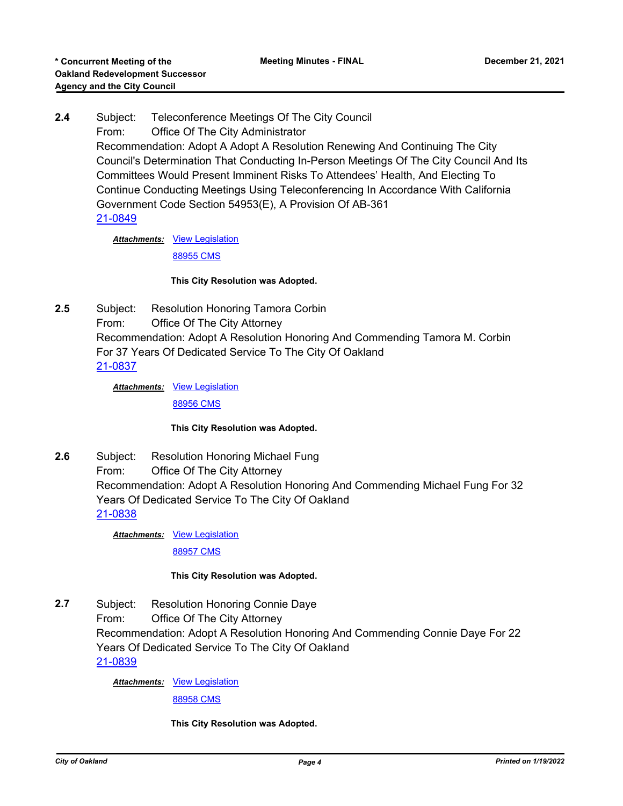**2.4** Subject: Teleconference Meetings Of The City Council From: Office Of The City Administrator Recommendation: Adopt A Adopt A Resolution Renewing And Continuing The City Council's Determination That Conducting In-Person Meetings Of The City Council And Its Committees Would Present Imminent Risks To Attendees' Health, And Electing To Continue Conducting Meetings Using Teleconferencing In Accordance With California Government Code Section 54953(E), A Provision Of AB-361 [21-0849](http://oakland.legistar.com/gateway.aspx?m=l&id=/matter.aspx?key=32774)

Attachments: [View Legislation](http://oakland.legistar.com/gateway.aspx?M=F&ID=934ba0b3-71a0-49e0-88e6-ca0e6851b318.pdf)

[88955 CMS](http://oakland.legistar.com/gateway.aspx?M=F&ID=d65515c2-48d5-457f-9ab5-95c0c97db1fe.pdf)

#### **This City Resolution was Adopted.**

**2.5** Subject: Resolution Honoring Tamora Corbin From: Office Of The City Attorney Recommendation: Adopt A Resolution Honoring And Commending Tamora M. Corbin For 37 Years Of Dedicated Service To The City Of Oakland [21-0837](http://oakland.legistar.com/gateway.aspx?m=l&id=/matter.aspx?key=32762)

> Attachments: [View Legislation](http://oakland.legistar.com/gateway.aspx?M=F&ID=03adbc74-0b40-4d05-ba57-9c8c4cb8a7ca.PDF) [88956 CMS](http://oakland.legistar.com/gateway.aspx?M=F&ID=ef3ba1da-d8fa-4e5b-ad3c-1c00b0ba9dbe.pdf)

#### **This City Resolution was Adopted.**

**2.6** Subject: Resolution Honoring Michael Fung From: Office Of The City Attorney Recommendation: Adopt A Resolution Honoring And Commending Michael Fung For 32 Years Of Dedicated Service To The City Of Oakland [21-0838](http://oakland.legistar.com/gateway.aspx?m=l&id=/matter.aspx?key=32763)

Attachments: [View Legislation](http://oakland.legistar.com/gateway.aspx?M=F&ID=3acf40b5-66ff-4d77-9399-6b55c678d978.PDF)

[88957 CMS](http://oakland.legistar.com/gateway.aspx?M=F&ID=1488f839-b9cf-4653-a9f6-708f4380d29b.pdf)

#### **This City Resolution was Adopted.**

**2.7** Subject: Resolution Honoring Connie Daye From: Office Of The City Attorney Recommendation: Adopt A Resolution Honoring And Commending Connie Daye For 22 Years Of Dedicated Service To The City Of Oakland [21-0839](http://oakland.legistar.com/gateway.aspx?m=l&id=/matter.aspx?key=32764)

Attachments: [View Legislation](http://oakland.legistar.com/gateway.aspx?M=F&ID=6d1e3a2f-9d82-484f-89ae-857d7c689ca5.PDF)

[88958 CMS](http://oakland.legistar.com/gateway.aspx?M=F&ID=8398b3a1-0fbb-4f53-bacd-00394b0eab75.pdf)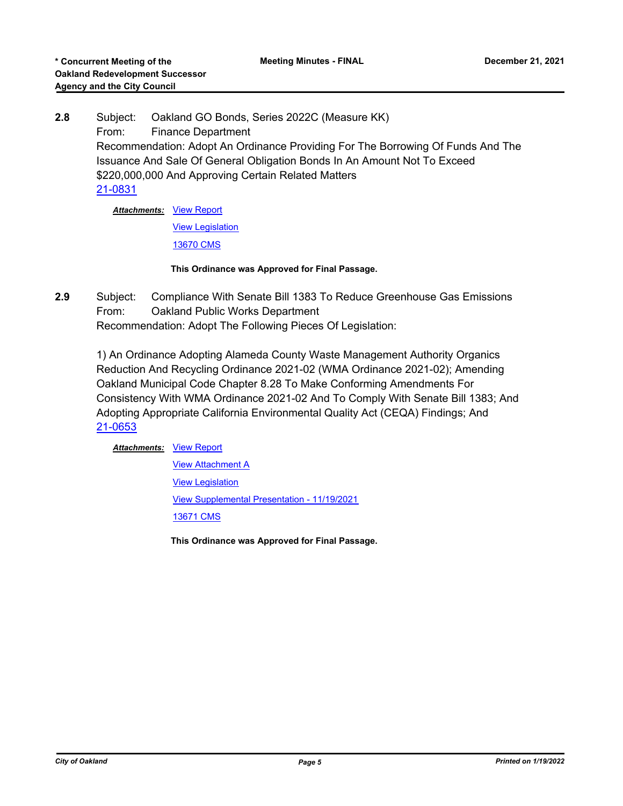**2.8** Subject: Oakland GO Bonds, Series 2022C (Measure KK) From: Finance Department Recommendation: Adopt An Ordinance Providing For The Borrowing Of Funds And The Issuance And Sale Of General Obligation Bonds In An Amount Not To Exceed \$220,000,000 And Approving Certain Related Matters [21-0831](http://oakland.legistar.com/gateway.aspx?m=l&id=/matter.aspx?key=32756)

> **Attachments: [View Report](http://oakland.legistar.com/gateway.aspx?M=F&ID=0608e64d-aecb-4638-9f6b-7881b990c527.pdf)** [View Legislation](http://oakland.legistar.com/gateway.aspx?M=F&ID=fdc811ff-e0be-4bd7-9fe8-fe0dc3df0157.pdf)

[13670 CMS](http://oakland.legistar.com/gateway.aspx?M=F&ID=531876f7-8667-49fb-8df1-a16356396710.pdf)

#### **This Ordinance was Approved for Final Passage.**

**2.9** Subject: Compliance With Senate Bill 1383 To Reduce Greenhouse Gas Emissions From: Oakland Public Works Department Recommendation: Adopt The Following Pieces Of Legislation:

1) An Ordinance Adopting Alameda County Waste Management Authority Organics Reduction And Recycling Ordinance 2021-02 (WMA Ordinance 2021-02); Amending Oakland Municipal Code Chapter 8.28 To Make Conforming Amendments For Consistency With WMA Ordinance 2021-02 And To Comply With Senate Bill 1383; And Adopting Appropriate California Environmental Quality Act (CEQA) Findings; And [21-0653](http://oakland.legistar.com/gateway.aspx?m=l&id=/matter.aspx?key=32578)

**Attachments: [View Report](http://oakland.legistar.com/gateway.aspx?M=F&ID=620e300d-2567-4221-87fb-9767782cf819.pdf)** 

**[View Attachment A](http://oakland.legistar.com/gateway.aspx?M=F&ID=34514680-0c81-475f-82dd-1ee9fd1332e0.pdf)** [View Legislation](http://oakland.legistar.com/gateway.aspx?M=F&ID=1a2ca12b-f518-4e55-b5c9-8e8a96545fab.pdf) [View Supplemental Presentation - 11/19/2021](http://oakland.legistar.com/gateway.aspx?M=F&ID=8dc4f658-fbca-4988-8123-80d71beb63a0.pdf) [13671 CMS](http://oakland.legistar.com/gateway.aspx?M=F&ID=90b25bbc-adef-45c4-b970-766c4a607bc3.pdf)

**This Ordinance was Approved for Final Passage.**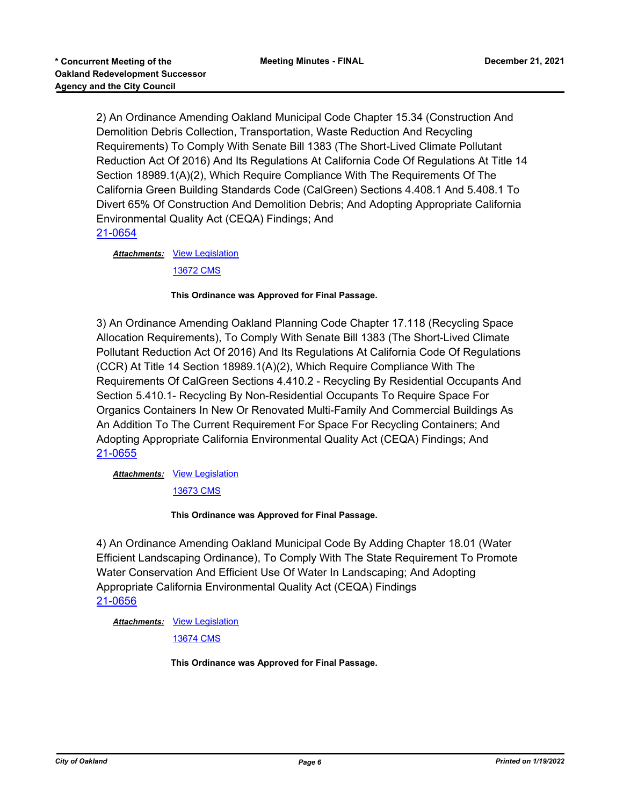2) An Ordinance Amending Oakland Municipal Code Chapter 15.34 (Construction And Demolition Debris Collection, Transportation, Waste Reduction And Recycling Requirements) To Comply With Senate Bill 1383 (The Short-Lived Climate Pollutant Reduction Act Of 2016) And Its Regulations At California Code Of Regulations At Title 14 Section 18989.1(A)(2), Which Require Compliance With The Requirements Of The California Green Building Standards Code (CalGreen) Sections 4.408.1 And 5.408.1 To Divert 65% Of Construction And Demolition Debris; And Adopting Appropriate California Environmental Quality Act (CEQA) Findings; And [21-0654](http://oakland.legistar.com/gateway.aspx?m=l&id=/matter.aspx?key=32579)

Attachments: [View Legislation](http://oakland.legistar.com/gateway.aspx?M=F&ID=48077344-5340-43fd-aff6-48f40c837ce2.pdf) [13672 CMS](http://oakland.legistar.com/gateway.aspx?M=F&ID=c0df5263-a49a-4a9b-afd4-14140486eb1c.pdf)

#### **This Ordinance was Approved for Final Passage.**

3) An Ordinance Amending Oakland Planning Code Chapter 17.118 (Recycling Space Allocation Requirements), To Comply With Senate Bill 1383 (The Short-Lived Climate Pollutant Reduction Act Of 2016) And Its Regulations At California Code Of Regulations (CCR) At Title 14 Section 18989.1(A)(2), Which Require Compliance With The Requirements Of CalGreen Sections 4.410.2 - Recycling By Residential Occupants And Section 5.410.1- Recycling By Non-Residential Occupants To Require Space For Organics Containers In New Or Renovated Multi-Family And Commercial Buildings As An Addition To The Current Requirement For Space For Recycling Containers; And Adopting Appropriate California Environmental Quality Act (CEQA) Findings; And [21-0655](http://oakland.legistar.com/gateway.aspx?m=l&id=/matter.aspx?key=32580)

Attachments: [View Legislation](http://oakland.legistar.com/gateway.aspx?M=F&ID=ecffcb20-03a2-4c1d-9fe6-93edaf0955f1.pdf)

[13673 CMS](http://oakland.legistar.com/gateway.aspx?M=F&ID=17c2ae65-8001-4615-bc66-e8e58674a937.pdf)

**This Ordinance was Approved for Final Passage.**

4) An Ordinance Amending Oakland Municipal Code By Adding Chapter 18.01 (Water Efficient Landscaping Ordinance), To Comply With The State Requirement To Promote Water Conservation And Efficient Use Of Water In Landscaping; And Adopting Appropriate California Environmental Quality Act (CEQA) Findings [21-0656](http://oakland.legistar.com/gateway.aspx?m=l&id=/matter.aspx?key=32581)

Attachments: [View Legislation](http://oakland.legistar.com/gateway.aspx?M=F&ID=e10f32fc-f901-4631-83ea-4c8c72985dc2.pdf)

[13674 CMS](http://oakland.legistar.com/gateway.aspx?M=F&ID=3bc79180-8c70-4bf6-b891-d11011234474.pdf)

**This Ordinance was Approved for Final Passage.**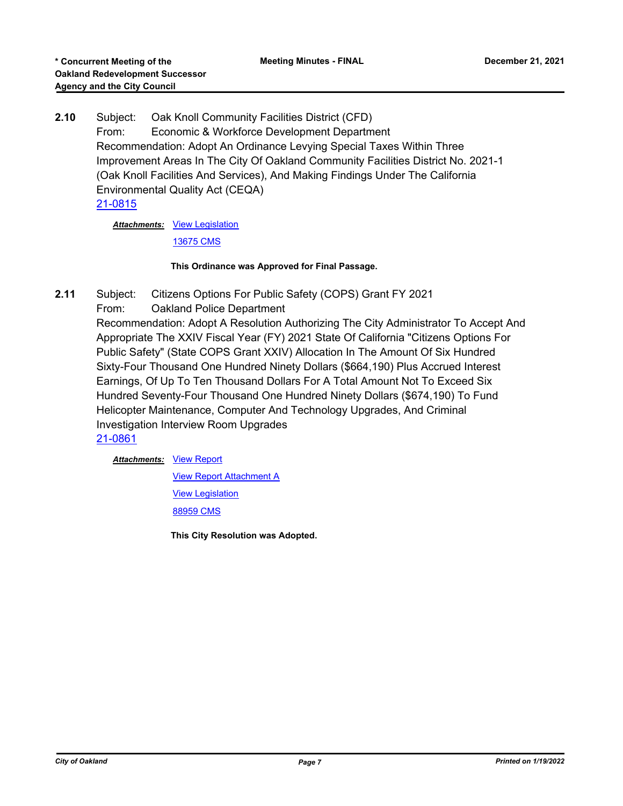**2.10** Subject: Oak Knoll Community Facilities District (CFD) From: Economic & Workforce Development Department Recommendation: Adopt An Ordinance Levying Special Taxes Within Three Improvement Areas In The City Of Oakland Community Facilities District No. 2021-1 (Oak Knoll Facilities And Services), And Making Findings Under The California Environmental Quality Act (CEQA) [21-0815](http://oakland.legistar.com/gateway.aspx?m=l&id=/matter.aspx?key=32740)

Attachments: [View Legislation](http://oakland.legistar.com/gateway.aspx?M=F&ID=77c5d336-41e2-4faa-b0e2-27da4736e40c.pdf)

[13675 CMS](http://oakland.legistar.com/gateway.aspx?M=F&ID=b42fe722-5de8-43d0-8966-70b65658c711.pdf)

#### **This Ordinance was Approved for Final Passage.**

- **2.11** Subject: Citizens Options For Public Safety (COPS) Grant FY 2021
	- From: Oakland Police Department

Recommendation: Adopt A Resolution Authorizing The City Administrator To Accept And Appropriate The XXIV Fiscal Year (FY) 2021 State Of California "Citizens Options For Public Safety" (State COPS Grant XXIV) Allocation In The Amount Of Six Hundred Sixty-Four Thousand One Hundred Ninety Dollars (\$664,190) Plus Accrued Interest Earnings, Of Up To Ten Thousand Dollars For A Total Amount Not To Exceed Six Hundred Seventy-Four Thousand One Hundred Ninety Dollars (\$674,190) To Fund Helicopter Maintenance, Computer And Technology Upgrades, And Criminal Investigation Interview Room Upgrades

[21-0861](http://oakland.legistar.com/gateway.aspx?m=l&id=/matter.aspx?key=32785)

**Attachments: [View Report](http://oakland.legistar.com/gateway.aspx?M=F&ID=b6440ea1-1c7c-44a6-ae44-f22de4f7051f.pdf)** 

[View Report Attachment A](http://oakland.legistar.com/gateway.aspx?M=F&ID=2d243172-4820-4b17-a2d6-d9b45622513a.pdf)

[View Legislation](http://oakland.legistar.com/gateway.aspx?M=F&ID=2b9d253f-34ef-4e41-8aa8-9e7b2ca6d053.pdf)

[88959 CMS](http://oakland.legistar.com/gateway.aspx?M=F&ID=6f62fbce-97fb-4a49-afcc-d3a1371cc0fa.pdf)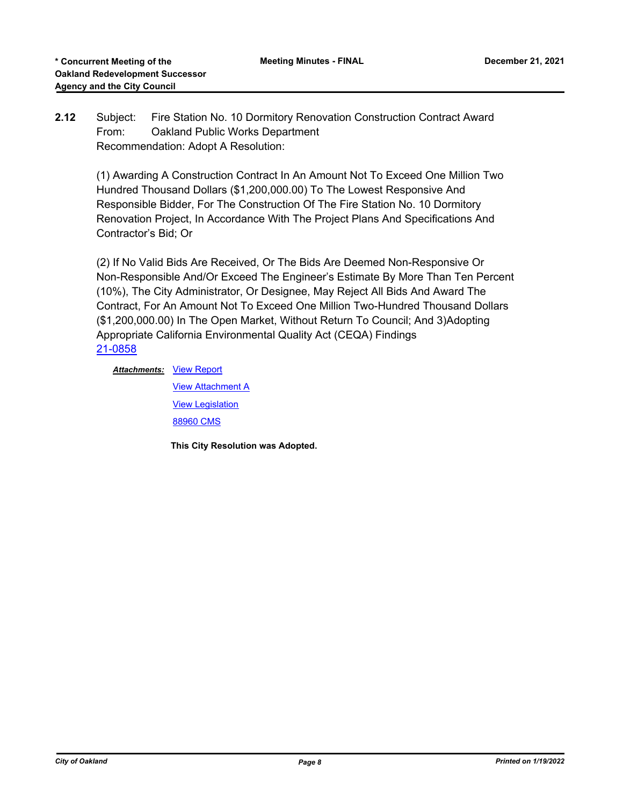# **2.12** Subject: Fire Station No. 10 Dormitory Renovation Construction Contract Award From: Oakland Public Works Department Recommendation: Adopt A Resolution:

(1) Awarding A Construction Contract In An Amount Not To Exceed One Million Two Hundred Thousand Dollars (\$1,200,000.00) To The Lowest Responsive And Responsible Bidder, For The Construction Of The Fire Station No. 10 Dormitory Renovation Project, In Accordance With The Project Plans And Specifications And Contractor's Bid; Or

(2) If No Valid Bids Are Received, Or The Bids Are Deemed Non-Responsive Or Non-Responsible And/Or Exceed The Engineer's Estimate By More Than Ten Percent (10%), The City Administrator, Or Designee, May Reject All Bids And Award The Contract, For An Amount Not To Exceed One Million Two-Hundred Thousand Dollars (\$1,200,000.00) In The Open Market, Without Return To Council; And 3)Adopting Appropriate California Environmental Quality Act (CEQA) Findings [21-0858](http://oakland.legistar.com/gateway.aspx?m=l&id=/matter.aspx?key=32782)

**Attachments: [View Report](http://oakland.legistar.com/gateway.aspx?M=F&ID=221a9d9d-bc38-4114-b37e-ab6c51104b67.pdf) [View Attachment A](http://oakland.legistar.com/gateway.aspx?M=F&ID=c4ef4927-7852-48f8-ace0-ef7bbb23ba03.pdf)** [View Legislation](http://oakland.legistar.com/gateway.aspx?M=F&ID=325fe036-a093-43a0-b7af-a17bbe06d47a.pdf) [88960 CMS](http://oakland.legistar.com/gateway.aspx?M=F&ID=738f466e-891e-4a03-8f28-5dd2993585fc.pdf)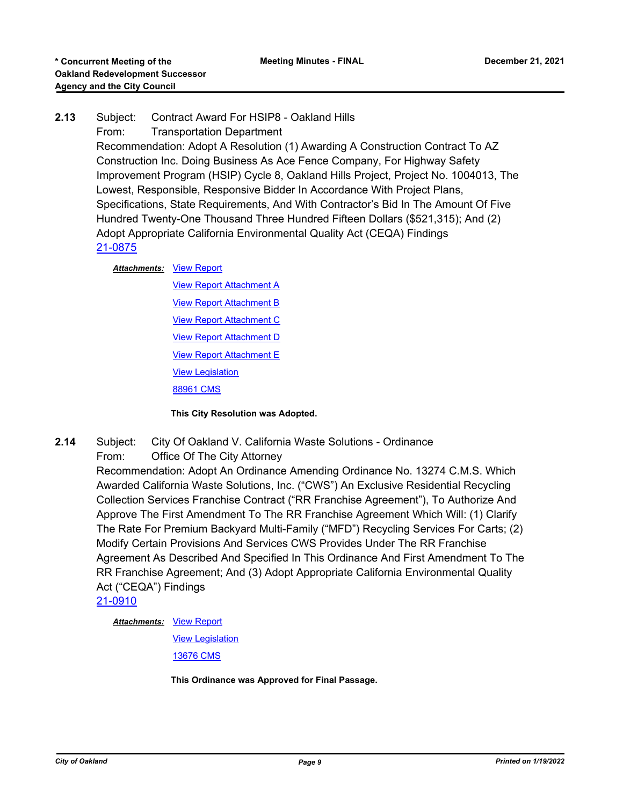# **2.13** Subject: Contract Award For HSIP8 - Oakland Hills

From: Transportation Department

Recommendation: Adopt A Resolution (1) Awarding A Construction Contract To AZ Construction Inc. Doing Business As Ace Fence Company, For Highway Safety Improvement Program (HSIP) Cycle 8, Oakland Hills Project, Project No. 1004013, The Lowest, Responsible, Responsive Bidder In Accordance With Project Plans, Specifications, State Requirements, And With Contractor's Bid In The Amount Of Five Hundred Twenty-One Thousand Three Hundred Fifteen Dollars (\$521,315); And (2) Adopt Appropriate California Environmental Quality Act (CEQA) Findings [21-0875](http://oakland.legistar.com/gateway.aspx?m=l&id=/matter.aspx?key=32799)

#### **Attachments: [View Report](http://oakland.legistar.com/gateway.aspx?M=F&ID=5fb4f46a-c50d-4ae9-82e7-aa1a07261333.pdf)**

**[View Report Attachment A](http://oakland.legistar.com/gateway.aspx?M=F&ID=9e85e988-4fb1-4580-bd6b-e5d4f0ac1d1e.pdf) [View Report Attachment B](http://oakland.legistar.com/gateway.aspx?M=F&ID=6ddc06a3-4efa-48d1-a562-a1c90c89ce48.pdf)** [View Report Attachment C](http://oakland.legistar.com/gateway.aspx?M=F&ID=1c5af308-f873-4d46-90ba-21d856452501.pdf) [View Report Attachment D](http://oakland.legistar.com/gateway.aspx?M=F&ID=0828856f-0cb9-4b3a-bfbe-5f46162bb9cc.pdf) **[View Report Attachment E](http://oakland.legistar.com/gateway.aspx?M=F&ID=f2f7e937-f056-4218-bb66-7cce789fe7c2.pdf)** [View Legislation](http://oakland.legistar.com/gateway.aspx?M=F&ID=6c272038-83f5-4778-83b2-a0ae1643aafd.pdf) [88961 CMS](http://oakland.legistar.com/gateway.aspx?M=F&ID=a73dba6c-6856-4256-b8d1-16fa718d6ffd.pdf)

#### **This City Resolution was Adopted.**

**2.14** Subject: City Of Oakland V. California Waste Solutions - Ordinance

# From: Office Of The City Attorney

Recommendation: Adopt An Ordinance Amending Ordinance No. 13274 C.M.S. Which Awarded California Waste Solutions, Inc. ("CWS") An Exclusive Residential Recycling Collection Services Franchise Contract ("RR Franchise Agreement"), To Authorize And Approve The First Amendment To The RR Franchise Agreement Which Will: (1) Clarify The Rate For Premium Backyard Multi-Family ("MFD") Recycling Services For Carts; (2) Modify Certain Provisions And Services CWS Provides Under The RR Franchise Agreement As Described And Specified In This Ordinance And First Amendment To The RR Franchise Agreement; And (3) Adopt Appropriate California Environmental Quality Act ("CEQA") Findings

[21-0910](http://oakland.legistar.com/gateway.aspx?m=l&id=/matter.aspx?key=32834)

**Attachments: [View Report](http://oakland.legistar.com/gateway.aspx?M=F&ID=4920f04e-3f08-472c-b0bb-48f6471ef58c.pdf)** 

[View Legislation](http://oakland.legistar.com/gateway.aspx?M=F&ID=53047819-e40a-443f-b2d8-b84b66bc3510.pdf)

[13676 CMS](http://oakland.legistar.com/gateway.aspx?M=F&ID=2bfbaf57-23a3-472e-ac90-40375f274869.pdf)

**This Ordinance was Approved for Final Passage.**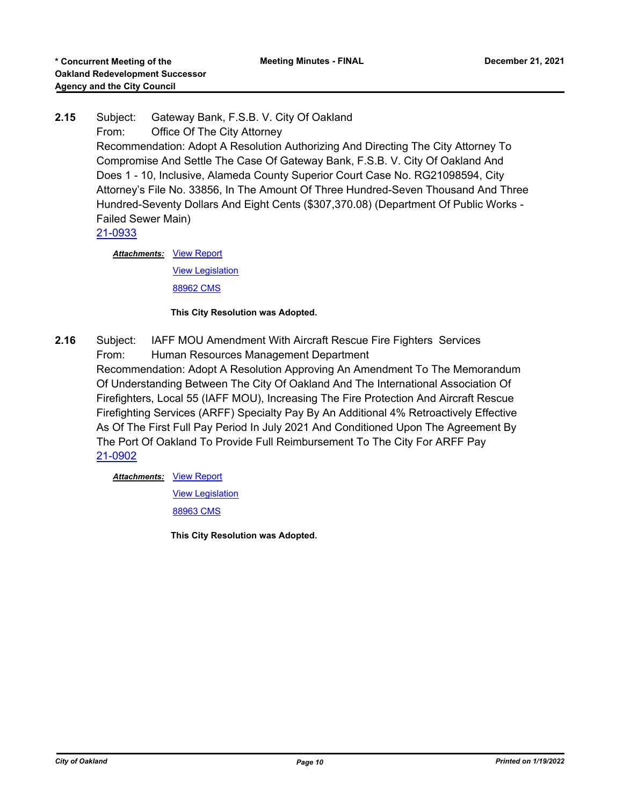**2.15** Subject: Gateway Bank, F.S.B. V. City Of Oakland From: Office Of The City Attorney Recommendation: Adopt A Resolution Authorizing And Directing The City Attorney To Compromise And Settle The Case Of Gateway Bank, F.S.B. V. City Of Oakland And Does 1 - 10, Inclusive, Alameda County Superior Court Case No. RG21098594, City Attorney's File No. 33856, In The Amount Of Three Hundred-Seven Thousand And Three Hundred-Seventy Dollars And Eight Cents (\$307,370.08) (Department Of Public Works - Failed Sewer Main) [21-0933](http://oakland.legistar.com/gateway.aspx?m=l&id=/matter.aspx?key=32857)

> **Attachments: [View Report](http://oakland.legistar.com/gateway.aspx?M=F&ID=940e568c-7f5b-415e-90d2-6ec5c79cbe57.PDF)** [View Legislation](http://oakland.legistar.com/gateway.aspx?M=F&ID=39ee54f8-dddb-4fb9-9a26-8fc61fe8eb30.PDF) [88962 CMS](http://oakland.legistar.com/gateway.aspx?M=F&ID=2baca6ec-78ff-4d3e-8e01-a812a8f34e25.pdf)

> > **This City Resolution was Adopted.**

**2.16** Subject: IAFF MOU Amendment With Aircraft Rescue Fire Fighters Services From: Human Resources Management Department Recommendation: Adopt A Resolution Approving An Amendment To The Memorandum Of Understanding Between The City Of Oakland And The International Association Of Firefighters, Local 55 (IAFF MOU), Increasing The Fire Protection And Aircraft Rescue Firefighting Services (ARFF) Specialty Pay By An Additional 4% Retroactively Effective As Of The First Full Pay Period In July 2021 And Conditioned Upon The Agreement By The Port Of Oakland To Provide Full Reimbursement To The City For ARFF Pay [21-0902](http://oakland.legistar.com/gateway.aspx?m=l&id=/matter.aspx?key=32826)

**Attachments: [View Report](http://oakland.legistar.com/gateway.aspx?M=F&ID=055b51ef-22fb-4291-98b0-db1cd4eb857a.pdf)** 

[View Legislation](http://oakland.legistar.com/gateway.aspx?M=F&ID=9721827c-9d0f-4136-9ba7-170e252cff1f.pdf)

[88963 CMS](http://oakland.legistar.com/gateway.aspx?M=F&ID=ae314fe5-c6b9-430c-a73a-2b7ff41b73d3.pdf)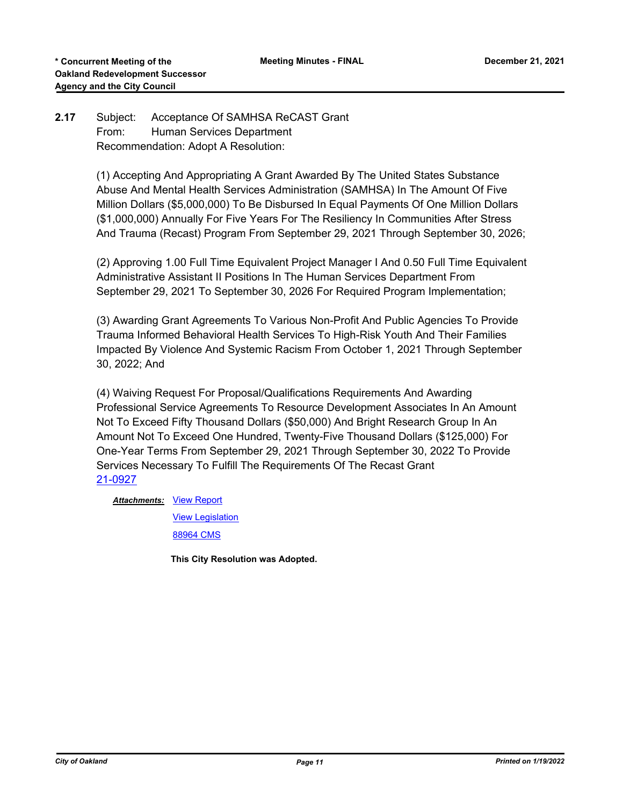# **2.17** Subject: Acceptance Of SAMHSA ReCAST Grant From: Human Services Department Recommendation: Adopt A Resolution:

(1) Accepting And Appropriating A Grant Awarded By The United States Substance Abuse And Mental Health Services Administration (SAMHSA) In The Amount Of Five Million Dollars (\$5,000,000) To Be Disbursed In Equal Payments Of One Million Dollars (\$1,000,000) Annually For Five Years For The Resiliency In Communities After Stress And Trauma (Recast) Program From September 29, 2021 Through September 30, 2026;

(2) Approving 1.00 Full Time Equivalent Project Manager I And 0.50 Full Time Equivalent Administrative Assistant II Positions In The Human Services Department From September 29, 2021 To September 30, 2026 For Required Program Implementation;

(3) Awarding Grant Agreements To Various Non-Profit And Public Agencies To Provide Trauma Informed Behavioral Health Services To High-Risk Youth And Their Families Impacted By Violence And Systemic Racism From October 1, 2021 Through September 30, 2022; And

(4) Waiving Request For Proposal/Qualifications Requirements And Awarding Professional Service Agreements To Resource Development Associates In An Amount Not To Exceed Fifty Thousand Dollars (\$50,000) And Bright Research Group In An Amount Not To Exceed One Hundred, Twenty-Five Thousand Dollars (\$125,000) For One-Year Terms From September 29, 2021 Through September 30, 2022 To Provide Services Necessary To Fulfill The Requirements Of The Recast Grant [21-0927](http://oakland.legistar.com/gateway.aspx?m=l&id=/matter.aspx?key=32851)

**Attachments: [View Report](http://oakland.legistar.com/gateway.aspx?M=F&ID=ec8fe4f0-acc1-493c-b271-cced4b7f1672.pdf)** 

[View Legislation](http://oakland.legistar.com/gateway.aspx?M=F&ID=6c91fb31-2bed-4263-8fd7-48f28fa38e10.pdf) [88964 CMS](http://oakland.legistar.com/gateway.aspx?M=F&ID=999f974c-7abf-411c-9018-c78d84b9cf37.pdf)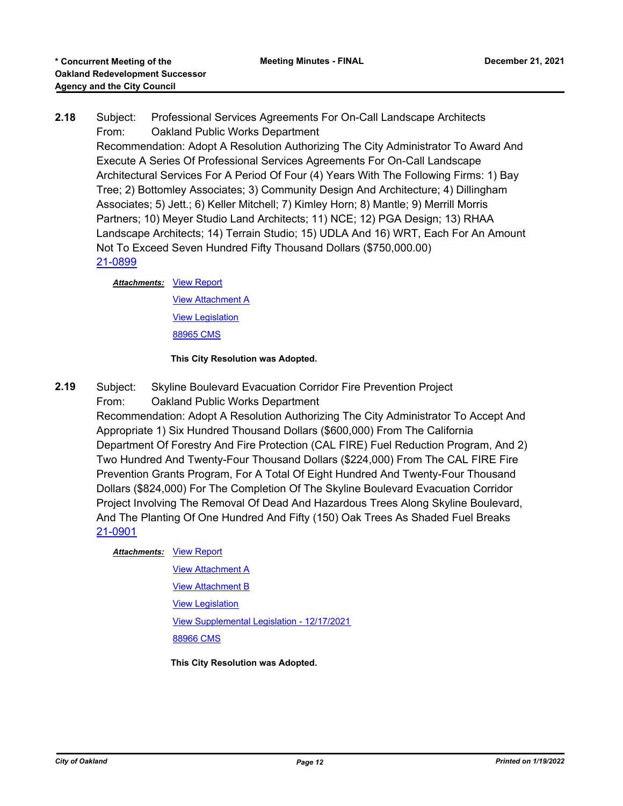# **2.18** Subject: Professional Services Agreements For On-Call Landscape Architects From: Oakland Public Works Department Recommendation: Adopt A Resolution Authorizing The City Administrator To Award And Execute A Series Of Professional Services Agreements For On-Call Landscape Architectural Services For A Period Of Four (4) Years With The Following Firms: 1) Bay Tree; 2) Bottomley Associates; 3) Community Design And Architecture; 4) Dillingham Associates; 5) Jett.; 6) Keller Mitchell; 7) Kimley Horn; 8) Mantle; 9) Merrill Morris Partners; 10) Meyer Studio Land Architects; 11) NCE; 12) PGA Design; 13) RHAA Landscape Architects; 14) Terrain Studio; 15) UDLA And 16) WRT, Each For An Amount Not To Exceed Seven Hundred Fifty Thousand Dollars (\$750,000.00) [21-0899](http://oakland.legistar.com/gateway.aspx?m=l&id=/matter.aspx?key=32823)

#### **Attachments: [View Report](http://oakland.legistar.com/gateway.aspx?M=F&ID=bd6401f0-c68f-4174-b5be-ac2debafbeb6.pdf)**

[View Attachment A](http://oakland.legistar.com/gateway.aspx?M=F&ID=6d948cc0-3095-4e86-8c77-5d385e1734c2.pdf) [View Legislation](http://oakland.legistar.com/gateway.aspx?M=F&ID=e41a871b-2963-42b7-8439-bdf33a1958c8.pdf) [88965 CMS](http://oakland.legistar.com/gateway.aspx?M=F&ID=dab23fd1-dbb6-4902-860f-9497c78982e5.pdf)

#### **This City Resolution was Adopted.**

- **2.19** Subject: Skyline Boulevard Evacuation Corridor Fire Prevention Project
	- From: Oakland Public Works Department

Recommendation: Adopt A Resolution Authorizing The City Administrator To Accept And Appropriate 1) Six Hundred Thousand Dollars (\$600,000) From The California Department Of Forestry And Fire Protection (CAL FIRE) Fuel Reduction Program, And 2) Two Hundred And Twenty-Four Thousand Dollars (\$224,000) From The CAL FIRE Fire Prevention Grants Program, For A Total Of Eight Hundred And Twenty-Four Thousand Dollars (\$824,000) For The Completion Of The Skyline Boulevard Evacuation Corridor Project Involving The Removal Of Dead And Hazardous Trees Along Skyline Boulevard, And The Planting Of One Hundred And Fifty (150) Oak Trees As Shaded Fuel Breaks [21-0901](http://oakland.legistar.com/gateway.aspx?m=l&id=/matter.aspx?key=32825)

#### **Attachments: [View Report](http://oakland.legistar.com/gateway.aspx?M=F&ID=0ccbfb31-eb2d-4ed7-89e2-f73657be3e3b.pdf)**

[View Attachment A](http://oakland.legistar.com/gateway.aspx?M=F&ID=ab833428-89c8-485e-a1b1-2c0aa5873425.pdf) **[View Attachment B](http://oakland.legistar.com/gateway.aspx?M=F&ID=892a00b1-c7af-40ac-875f-263967e3e557.pdf)** [View Legislation](http://oakland.legistar.com/gateway.aspx?M=F&ID=b58defe4-017d-4edb-9f1b-6d313082f97b.pdf) [View Supplemental Legislation - 12/17/2021](http://oakland.legistar.com/gateway.aspx?M=F&ID=43e2c79c-bc9f-4b38-8e53-c7b965b5c816.pdf) [88966 CMS](http://oakland.legistar.com/gateway.aspx?M=F&ID=7fe36577-cff5-488f-8852-4c32968957a5.pdf)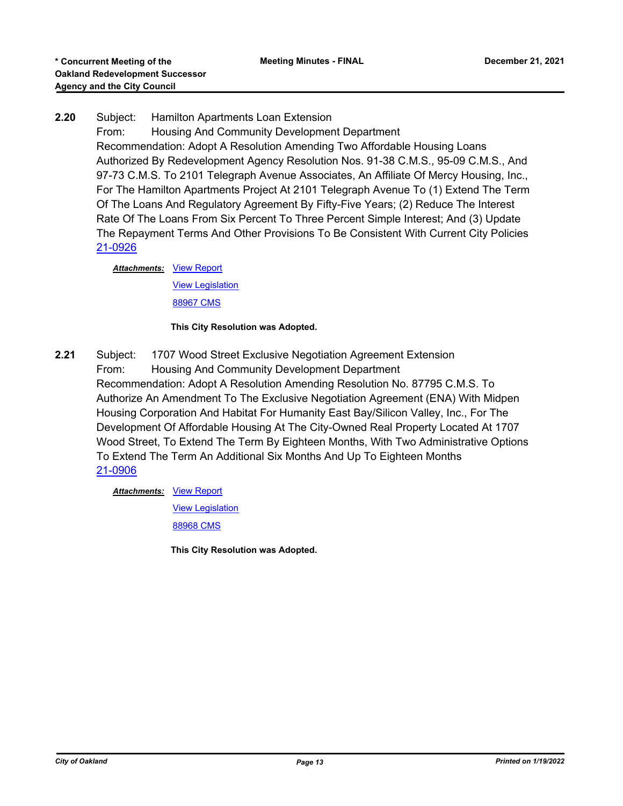# **2.20** Subject: Hamilton Apartments Loan Extension

From: Housing And Community Development Department Recommendation: Adopt A Resolution Amending Two Affordable Housing Loans Authorized By Redevelopment Agency Resolution Nos. 91-38 C.M.S., 95-09 C.M.S., And 97-73 C.M.S. To 2101 Telegraph Avenue Associates, An Affiliate Of Mercy Housing, Inc., For The Hamilton Apartments Project At 2101 Telegraph Avenue To (1) Extend The Term Of The Loans And Regulatory Agreement By Fifty-Five Years; (2) Reduce The Interest Rate Of The Loans From Six Percent To Three Percent Simple Interest; And (3) Update The Repayment Terms And Other Provisions To Be Consistent With Current City Policies [21-0926](http://oakland.legistar.com/gateway.aspx?m=l&id=/matter.aspx?key=32850)

**Attachments: [View Report](http://oakland.legistar.com/gateway.aspx?M=F&ID=2c990ebb-0e19-4435-9840-ec152fe459c5.pdf)** [View Legislation](http://oakland.legistar.com/gateway.aspx?M=F&ID=ae50364b-d15b-40c4-9f36-40c46bd05ce9.pdf) [88967 CMS](http://oakland.legistar.com/gateway.aspx?M=F&ID=feac5593-caed-4d6a-8797-572c118d1698.pdf)

#### **This City Resolution was Adopted.**

**2.21** Subject: 1707 Wood Street Exclusive Negotiation Agreement Extension From: Housing And Community Development Department Recommendation: Adopt A Resolution Amending Resolution No. 87795 C.M.S. To Authorize An Amendment To The Exclusive Negotiation Agreement (ENA) With Midpen Housing Corporation And Habitat For Humanity East Bay/Silicon Valley, Inc., For The Development Of Affordable Housing At The City-Owned Real Property Located At 1707 Wood Street, To Extend The Term By Eighteen Months, With Two Administrative Options To Extend The Term An Additional Six Months And Up To Eighteen Months [21-0906](http://oakland.legistar.com/gateway.aspx?m=l&id=/matter.aspx?key=32830)

**Attachments: [View Report](http://oakland.legistar.com/gateway.aspx?M=F&ID=a994a4e9-d938-4101-8b1d-7357a0f94778.pdf)** 

[View Legislation](http://oakland.legistar.com/gateway.aspx?M=F&ID=843df944-ebf1-4100-bdc1-d19c3fc6e97a.pdf)

[88968 CMS](http://oakland.legistar.com/gateway.aspx?M=F&ID=c475b7ca-8dcd-40b9-9f60-8f99fd972286.pdf)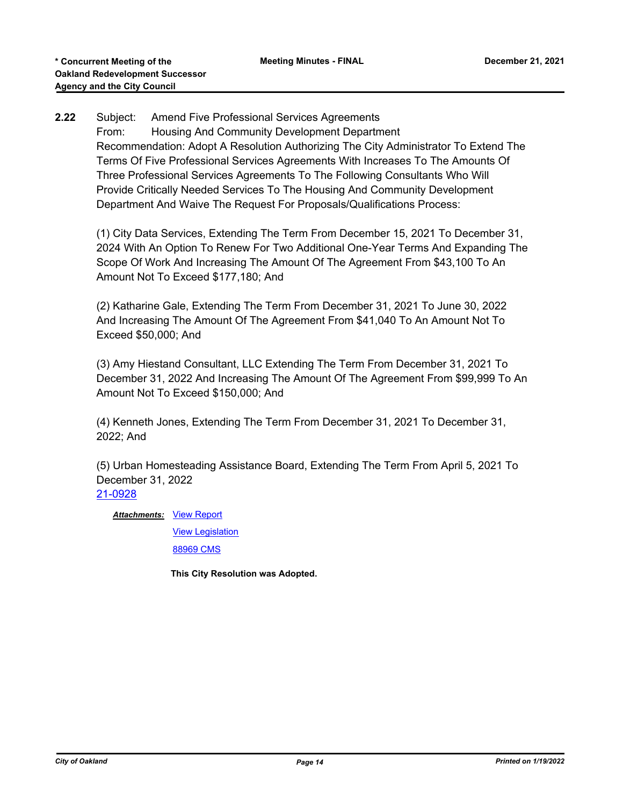# **2.22** Subject: Amend Five Professional Services Agreements From: Housing And Community Development Department Recommendation: Adopt A Resolution Authorizing The City Administrator To Extend The Terms Of Five Professional Services Agreements With Increases To The Amounts Of Three Professional Services Agreements To The Following Consultants Who Will Provide Critically Needed Services To The Housing And Community Development Department And Waive The Request For Proposals/Qualifications Process:

(1) City Data Services, Extending The Term From December 15, 2021 To December 31, 2024 With An Option To Renew For Two Additional One-Year Terms And Expanding The Scope Of Work And Increasing The Amount Of The Agreement From \$43,100 To An Amount Not To Exceed \$177,180; And

(2) Katharine Gale, Extending The Term From December 31, 2021 To June 30, 2022 And Increasing The Amount Of The Agreement From \$41,040 To An Amount Not To Exceed \$50,000; And

(3) Amy Hiestand Consultant, LLC Extending The Term From December 31, 2021 To December 31, 2022 And Increasing The Amount Of The Agreement From \$99,999 To An Amount Not To Exceed \$150,000; And

(4) Kenneth Jones, Extending The Term From December 31, 2021 To December 31, 2022; And

(5) Urban Homesteading Assistance Board, Extending The Term From April 5, 2021 To December 31, 2022 [21-0928](http://oakland.legistar.com/gateway.aspx?m=l&id=/matter.aspx?key=32852)

**Attachments: [View Report](http://oakland.legistar.com/gateway.aspx?M=F&ID=95fc2435-f7db-4de6-b6a9-05489eccd208.pdf)** 

[View Legislation](http://oakland.legistar.com/gateway.aspx?M=F&ID=1202ef28-8822-45dd-a31b-f4f927da203a.pdf) [88969 CMS](http://oakland.legistar.com/gateway.aspx?M=F&ID=a787b3ef-eb89-4504-b123-04f6d0090d21.pdf)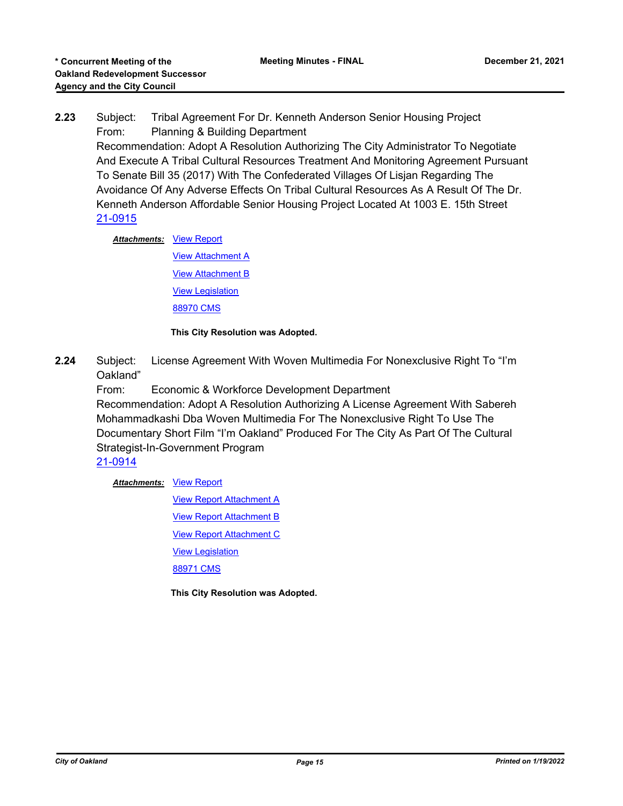**2.23** Subject: Tribal Agreement For Dr. Kenneth Anderson Senior Housing Project From: Planning & Building Department

Recommendation: Adopt A Resolution Authorizing The City Administrator To Negotiate And Execute A Tribal Cultural Resources Treatment And Monitoring Agreement Pursuant To Senate Bill 35 (2017) With The Confederated Villages Of Lisjan Regarding The Avoidance Of Any Adverse Effects On Tribal Cultural Resources As A Result Of The Dr. Kenneth Anderson Affordable Senior Housing Project Located At 1003 E. 15th Street [21-0915](http://oakland.legistar.com/gateway.aspx?m=l&id=/matter.aspx?key=32839)

**Attachments: [View Report](http://oakland.legistar.com/gateway.aspx?M=F&ID=b7d9d971-6c81-4d45-92e5-ccb7da441940.pdf)** 

[View Attachment A](http://oakland.legistar.com/gateway.aspx?M=F&ID=caf22bd7-075e-4f5f-bf85-7425bdfcd62c.pdf) [View Attachment B](http://oakland.legistar.com/gateway.aspx?M=F&ID=8be78872-f27f-41ec-8de2-caab6406b3fb.pdf) [View Legislation](http://oakland.legistar.com/gateway.aspx?M=F&ID=f997b63c-8442-4681-b668-274fdc502b2e.pdf) [88970 CMS](http://oakland.legistar.com/gateway.aspx?M=F&ID=d41db050-f47d-4e14-b746-662b7f7b84e0.pdf)

**This City Resolution was Adopted.**

**2.24** Subject: License Agreement With Woven Multimedia For Nonexclusive Right To "I'm Oakland"

From: Economic & Workforce Development Department

Recommendation: Adopt A Resolution Authorizing A License Agreement With Sabereh Mohammadkashi Dba Woven Multimedia For The Nonexclusive Right To Use The Documentary Short Film "I'm Oakland" Produced For The City As Part Of The Cultural Strategist-In-Government Program

[21-0914](http://oakland.legistar.com/gateway.aspx?m=l&id=/matter.aspx?key=32838)

**Attachments: [View Report](http://oakland.legistar.com/gateway.aspx?M=F&ID=799d85d3-9284-4714-aa82-70c5a1b62e76.pdf)** 

[View Report Attachment A](http://oakland.legistar.com/gateway.aspx?M=F&ID=e1cfe4f1-2843-4a67-a650-f2cd93138404.pdf) **[View Report Attachment B](http://oakland.legistar.com/gateway.aspx?M=F&ID=c1b77c18-239a-485f-be7e-3b269f14ff5b.pdf)** [View Report Attachment C](http://oakland.legistar.com/gateway.aspx?M=F&ID=51ed7383-b7e6-48f3-8b53-baca9162a0f5.pdf) [View Legislation](http://oakland.legistar.com/gateway.aspx?M=F&ID=366575ac-f92b-4f35-8563-d98468728a3e.pdf) [88971 CMS](http://oakland.legistar.com/gateway.aspx?M=F&ID=1a336b3d-64bf-43b0-99af-5e14f4e56534.pdf)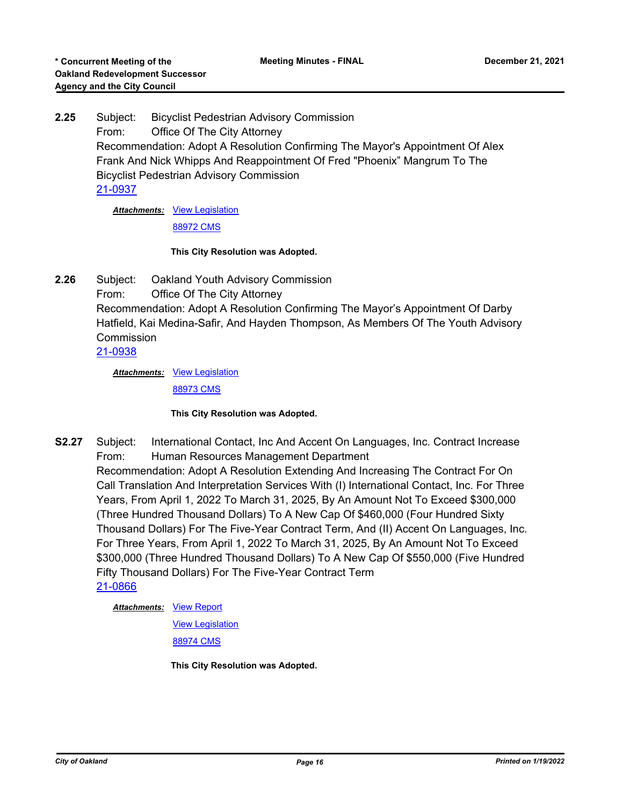**2.25** Subject: Bicyclist Pedestrian Advisory Commission From: Office Of The City Attorney Recommendation: Adopt A Resolution Confirming The Mayor's Appointment Of Alex Frank And Nick Whipps And Reappointment Of Fred "Phoenix" Mangrum To The Bicyclist Pedestrian Advisory Commission [21-0937](http://oakland.legistar.com/gateway.aspx?m=l&id=/matter.aspx?key=32861)

Attachments: [View Legislation](http://oakland.legistar.com/gateway.aspx?M=F&ID=826b594d-8aca-489d-a323-c077128040f5.pdf)

[88972 CMS](http://oakland.legistar.com/gateway.aspx?M=F&ID=b1a28f02-b286-468c-aab2-13ae40884781.pdf)

#### **This City Resolution was Adopted.**

**2.26** Subject: Oakland Youth Advisory Commission From: Office Of The City Attorney Recommendation: Adopt A Resolution Confirming The Mayor's Appointment Of Darby Hatfield, Kai Medina-Safir, And Hayden Thompson, As Members Of The Youth Advisory Commission [21-0938](http://oakland.legistar.com/gateway.aspx?m=l&id=/matter.aspx?key=32862)

> Attachments: [View Legislation](http://oakland.legistar.com/gateway.aspx?M=F&ID=c6f18ead-a55a-4e3e-bb58-77a6a3c8e77f.PDF) [88973 CMS](http://oakland.legistar.com/gateway.aspx?M=F&ID=34abb657-be66-49fb-9850-9a7568b3bf98.pdf)

#### **This City Resolution was Adopted.**

**S2.27** Subject: International Contact, Inc And Accent On Languages, Inc. Contract Increase From: Human Resources Management Department Recommendation: Adopt A Resolution Extending And Increasing The Contract For On Call Translation And Interpretation Services With (I) International Contact, Inc. For Three Years, From April 1, 2022 To March 31, 2025, By An Amount Not To Exceed \$300,000 (Three Hundred Thousand Dollars) To A New Cap Of \$460,000 (Four Hundred Sixty Thousand Dollars) For The Five-Year Contract Term, And (II) Accent On Languages, Inc. For Three Years, From April 1, 2022 To March 31, 2025, By An Amount Not To Exceed \$300,000 (Three Hundred Thousand Dollars) To A New Cap Of \$550,000 (Five Hundred Fifty Thousand Dollars) For The Five-Year Contract Term [21-0866](http://oakland.legistar.com/gateway.aspx?m=l&id=/matter.aspx?key=32790)

**Attachments: [View Report](http://oakland.legistar.com/gateway.aspx?M=F&ID=2778223c-04f7-4296-8fc2-154b89a1838c.pdf)** 

[View Legislation](http://oakland.legistar.com/gateway.aspx?M=F&ID=0ed48605-18be-48fb-9112-923dab59c9fc.pdf)

[88974 CMS](http://oakland.legistar.com/gateway.aspx?M=F&ID=82c696de-c63b-4ebf-93cc-be8b577f7955.pdf)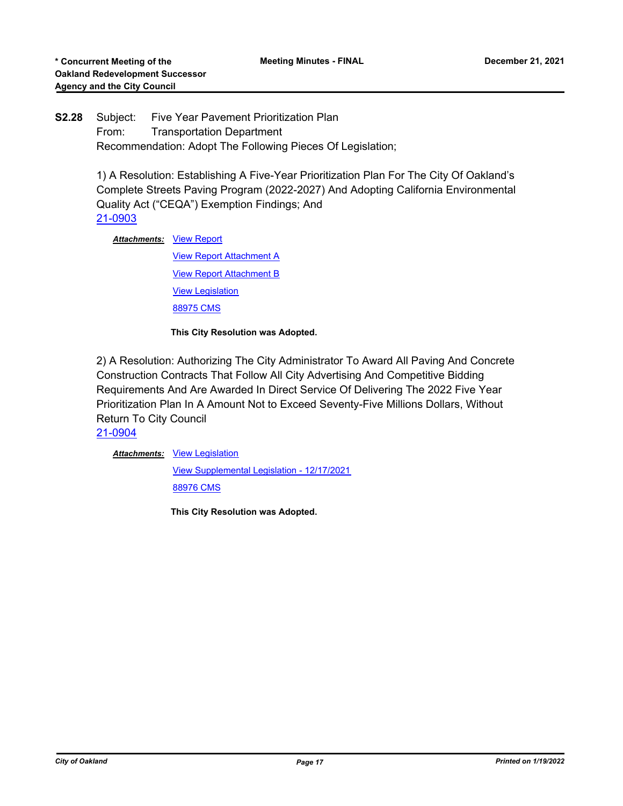# **S2.28** Subject: Five Year Pavement Prioritization Plan From: Transportation Department Recommendation: Adopt The Following Pieces Of Legislation;

1) A Resolution: Establishing A Five-Year Prioritization Plan For The City Of Oakland's Complete Streets Paving Program (2022-2027) And Adopting California Environmental Quality Act ("CEQA") Exemption Findings; And [21-0903](http://oakland.legistar.com/gateway.aspx?m=l&id=/matter.aspx?key=32827)

**Attachments: [View Report](http://oakland.legistar.com/gateway.aspx?M=F&ID=60a92ddc-9736-4317-a5c9-8d1a2b4ab031.pdf)** 

[View Report Attachment A](http://oakland.legistar.com/gateway.aspx?M=F&ID=20fe439b-2826-438a-8d95-6e7245a28471.pdf) [View Report Attachment B](http://oakland.legistar.com/gateway.aspx?M=F&ID=504bee17-052b-44bb-93db-3e975ea92e4b.pdf) [View Legislation](http://oakland.legistar.com/gateway.aspx?M=F&ID=94516545-f00f-46da-99e7-503688db8984.pdf) [88975 CMS](http://oakland.legistar.com/gateway.aspx?M=F&ID=58c5cc32-f98f-4df3-a97e-fb5b00757ffc.pdf)

**This City Resolution was Adopted.**

2) A Resolution: Authorizing The City Administrator To Award All Paving And Concrete Construction Contracts That Follow All City Advertising And Competitive Bidding Requirements And Are Awarded In Direct Service Of Delivering The 2022 Five Year Prioritization Plan In A Amount Not to Exceed Seventy-Five Millions Dollars, Without Return To City Council

[21-0904](http://oakland.legistar.com/gateway.aspx?m=l&id=/matter.aspx?key=32828)

Attachments: [View Legislation](http://oakland.legistar.com/gateway.aspx?M=F&ID=4e8dbcba-3bd8-47f4-a239-ea50bb528033.pdf)

[View Supplemental Legislation - 12/17/2021](http://oakland.legistar.com/gateway.aspx?M=F&ID=d766411a-204d-4b51-b63e-8c02e9054690.pdf) [88976 CMS](http://oakland.legistar.com/gateway.aspx?M=F&ID=005c47ca-257e-4fe0-a41e-c5971042c73e.pdf)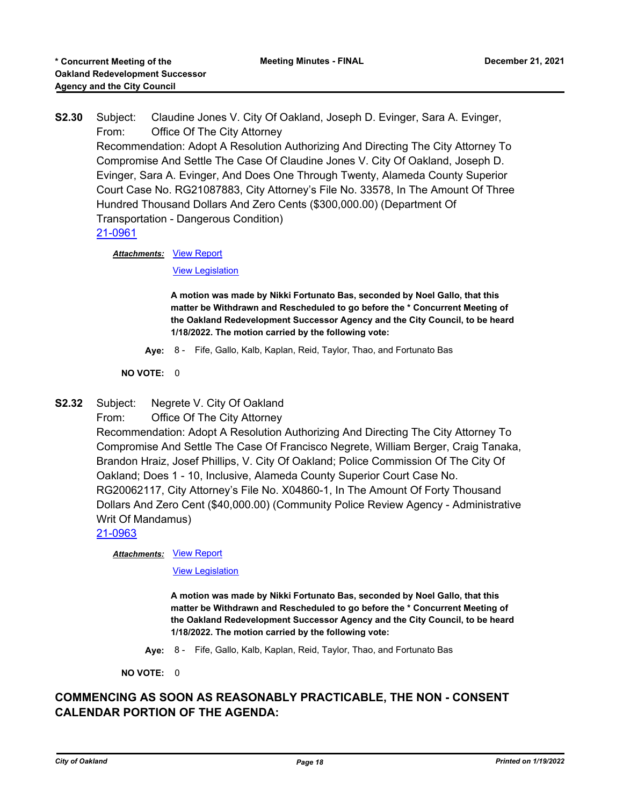**S2.30** Subject: Claudine Jones V. City Of Oakland, Joseph D. Evinger, Sara A. Evinger, From: Office Of The City Attorney Recommendation: Adopt A Resolution Authorizing And Directing The City Attorney To Compromise And Settle The Case Of Claudine Jones V. City Of Oakland, Joseph D. Evinger, Sara A. Evinger, And Does One Through Twenty, Alameda County Superior Court Case No. RG21087883, City Attorney's File No. 33578, In The Amount Of Three Hundred Thousand Dollars And Zero Cents (\$300,000.00) (Department Of Transportation - Dangerous Condition)

[21-0961](http://oakland.legistar.com/gateway.aspx?m=l&id=/matter.aspx?key=32885)

**Attachments: [View Report](http://oakland.legistar.com/gateway.aspx?M=F&ID=9042d8a6-3f87-4053-907d-2e29f4ba02d8.PDF)** 

[View Legislation](http://oakland.legistar.com/gateway.aspx?M=F&ID=2f32bfa3-1b72-45a8-8bf7-c589778752df.PDF)

**A motion was made by Nikki Fortunato Bas, seconded by Noel Gallo, that this matter be Withdrawn and Rescheduled to go before the \* Concurrent Meeting of the Oakland Redevelopment Successor Agency and the City Council, to be heard 1/18/2022. The motion carried by the following vote:**

**Aye:** 8 - Fife, Gallo, Kalb, Kaplan, Reid, Taylor, Thao, and Fortunato Bas

**NO VOTE:** 0

**S2.32** Subject: Negrete V. City Of Oakland

From: Office Of The City Attorney

Recommendation: Adopt A Resolution Authorizing And Directing The City Attorney To Compromise And Settle The Case Of Francisco Negrete, William Berger, Craig Tanaka, Brandon Hraiz, Josef Phillips, V. City Of Oakland; Police Commission Of The City Of Oakland; Does 1 - 10, Inclusive, Alameda County Superior Court Case No. RG20062117, City Attorney's File No. X04860-1, In The Amount Of Forty Thousand Dollars And Zero Cent (\$40,000.00) (Community Police Review Agency - Administrative Writ Of Mandamus)

[21-0963](http://oakland.legistar.com/gateway.aspx?m=l&id=/matter.aspx?key=32887)

**Attachments: [View Report](http://oakland.legistar.com/gateway.aspx?M=F&ID=ea8b0a79-0e93-4693-8641-87609ee6487a.PDF)** 

[View Legislation](http://oakland.legistar.com/gateway.aspx?M=F&ID=12e39eb7-4709-4f26-9a39-4c812e24e4ca.PDF)

**A motion was made by Nikki Fortunato Bas, seconded by Noel Gallo, that this matter be Withdrawn and Rescheduled to go before the \* Concurrent Meeting of the Oakland Redevelopment Successor Agency and the City Council, to be heard 1/18/2022. The motion carried by the following vote:**

**Aye:** 8 - Fife, Gallo, Kalb, Kaplan, Reid, Taylor, Thao, and Fortunato Bas

**NO VOTE:** 0

# **COMMENCING AS SOON AS REASONABLY PRACTICABLE, THE NON - CONSENT CALENDAR PORTION OF THE AGENDA:**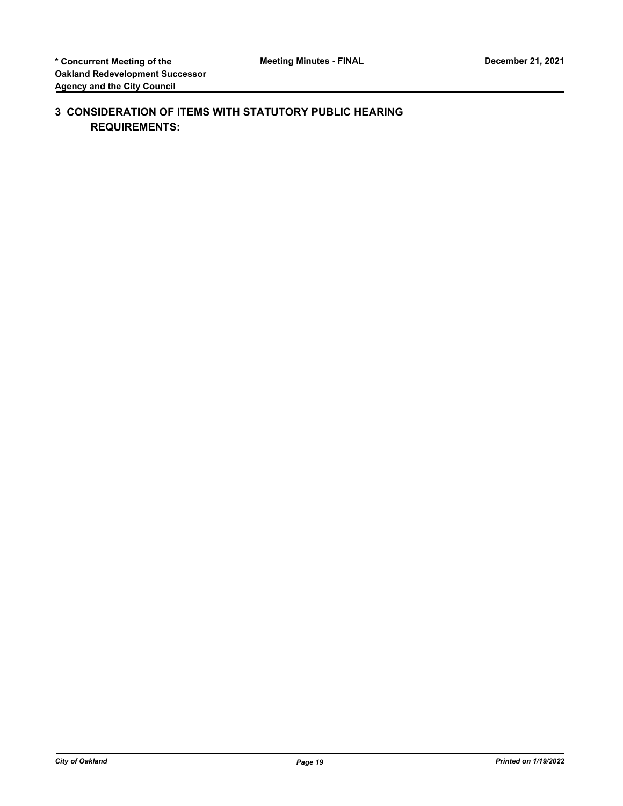# **3 CONSIDERATION OF ITEMS WITH STATUTORY PUBLIC HEARING REQUIREMENTS:**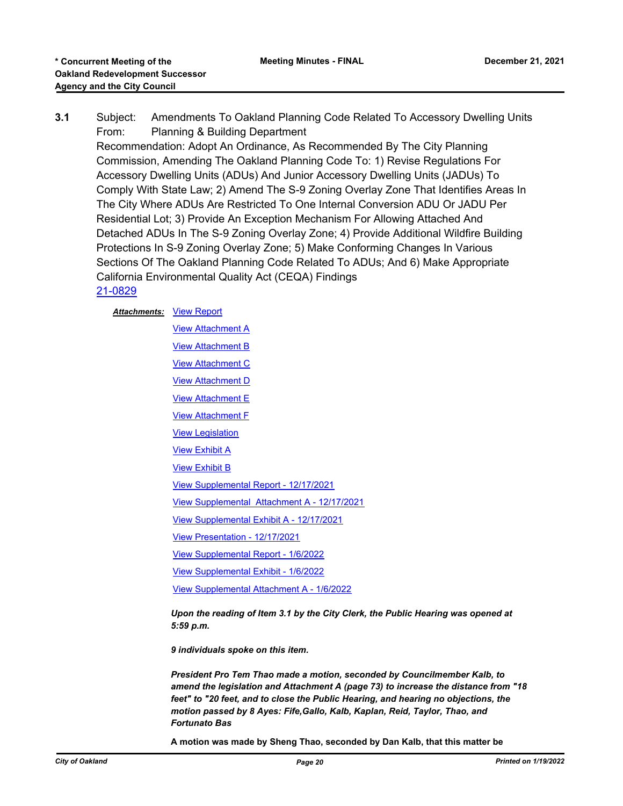**3.1** Subject: Amendments To Oakland Planning Code Related To Accessory Dwelling Units From: Planning & Building Department Recommendation: Adopt An Ordinance, As Recommended By The City Planning Commission, Amending The Oakland Planning Code To: 1) Revise Regulations For Accessory Dwelling Units (ADUs) And Junior Accessory Dwelling Units (JADUs) To Comply With State Law; 2) Amend The S-9 Zoning Overlay Zone That Identifies Areas In The City Where ADUs Are Restricted To One Internal Conversion ADU Or JADU Per Residential Lot; 3) Provide An Exception Mechanism For Allowing Attached And Detached ADUs In The S-9 Zoning Overlay Zone; 4) Provide Additional Wildfire Building Protections In S-9 Zoning Overlay Zone; 5) Make Conforming Changes In Various Sections Of The Oakland Planning Code Related To ADUs; And 6) Make Appropriate California Environmental Quality Act (CEQA) Findings [21-0829](http://oakland.legistar.com/gateway.aspx?m=l&id=/matter.aspx?key=32754)

#### **Attachments: [View Report](http://oakland.legistar.com/gateway.aspx?M=F&ID=c64251c9-e736-4b62-b288-167b6b11d217.pdf)**

**[View Attachment A](http://oakland.legistar.com/gateway.aspx?M=F&ID=887421d6-27e3-49e0-92a7-460f9450cbf7.pdf)** [View Attachment B](http://oakland.legistar.com/gateway.aspx?M=F&ID=ed336eef-eaa0-4637-8012-c1571c4a7a9b.pdf) [View Attachment C](http://oakland.legistar.com/gateway.aspx?M=F&ID=6b0308e7-4dae-44b1-bcd7-d9a2502e5bfe.pdf) **[View Attachment D](http://oakland.legistar.com/gateway.aspx?M=F&ID=2a6e17fa-b9d2-42a0-ad6c-09379c562e96.pdf) [View Attachment E](http://oakland.legistar.com/gateway.aspx?M=F&ID=dc43480b-5c91-4ecc-b824-fb974b5deaeb.pdf)** [View Attachment F](http://oakland.legistar.com/gateway.aspx?M=F&ID=887a5603-268c-469c-afde-a8657e61b244.pdf) [View Legislation](http://oakland.legistar.com/gateway.aspx?M=F&ID=dccfad29-1f7a-4773-a31c-4b4c1a4de43e.pdf) [View Exhibit A](http://oakland.legistar.com/gateway.aspx?M=F&ID=727662fb-66ad-4148-b7da-77beb1d2b03c.pdf) [View Exhibit B](http://oakland.legistar.com/gateway.aspx?M=F&ID=576f1777-1fd9-4a4b-bbda-f0d044f464da.pdf) [View Supplemental Report - 12/17/2021](http://oakland.legistar.com/gateway.aspx?M=F&ID=00eeb800-a240-4b3e-8a53-0556a360445a.pdf) [View Supplemental Attachment A - 12/17/2021](http://oakland.legistar.com/gateway.aspx?M=F&ID=8ec3f30d-83f7-453f-95bd-412f76939d4e.pdf) [View Supplemental Exhibit A - 12/17/2021](http://oakland.legistar.com/gateway.aspx?M=F&ID=65b925d8-9f50-45e8-8750-5f74ed03c17f.pdf) [View Presentation - 12/17/2021](http://oakland.legistar.com/gateway.aspx?M=F&ID=103c5d11-7815-4ecc-b760-48ffbb5ad527.pdf) [View Supplemental Report - 1/6/2022](http://oakland.legistar.com/gateway.aspx?M=F&ID=5e5867e9-4c6c-4900-a695-e6840905292a.pdf) [View Supplemental Exhibit - 1/6/2022](http://oakland.legistar.com/gateway.aspx?M=F&ID=5598045d-70da-444f-91a0-2317409daeda.pdf) [View Supplemental Attachment A - 1/6/2022](http://oakland.legistar.com/gateway.aspx?M=F&ID=02a4b015-37c8-4c1d-97a7-f4cbcac2cdb6.pdf) *Upon the reading of Item 3.1 by the City Clerk, the Public Hearing was opened at 5:59 p.m. 9 individuals spoke on this item.*

*President Pro Tem Thao made a motion, seconded by Councilmember Kalb, to amend the legislation and Attachment A (page 73) to increase the distance from "18 feet" to "20 feet, and to close the Public Hearing, and hearing no objections, the motion passed by 8 Ayes: Fife,Gallo, Kalb, Kaplan, Reid, Taylor, Thao, and Fortunato Bas*

**A motion was made by Sheng Thao, seconded by Dan Kalb, that this matter be**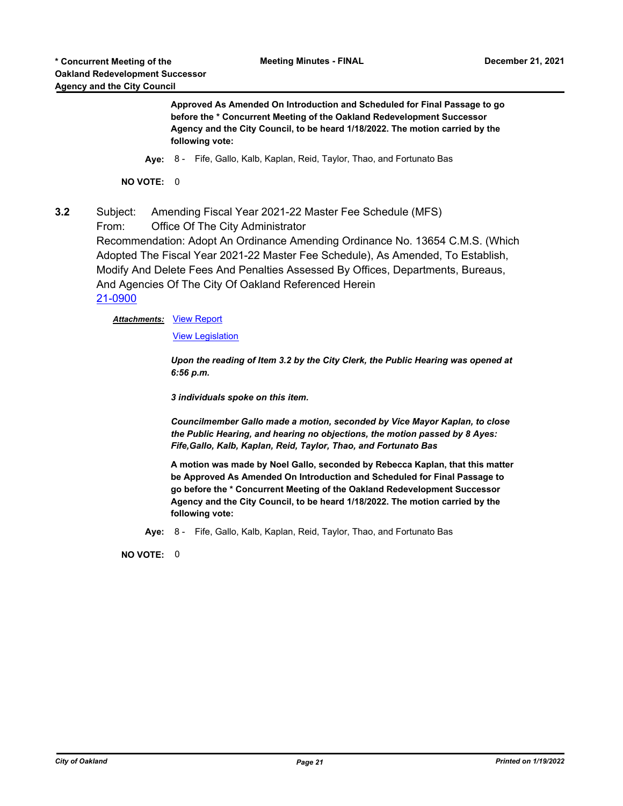**Approved As Amended On Introduction and Scheduled for Final Passage to go before the \* Concurrent Meeting of the Oakland Redevelopment Successor Agency and the City Council, to be heard 1/18/2022. The motion carried by the following vote:**

**Aye:** 8 - Fife, Gallo, Kalb, Kaplan, Reid, Taylor, Thao, and Fortunato Bas

**NO VOTE:** 0

**3.2** Subject: Amending Fiscal Year 2021-22 Master Fee Schedule (MFS) From: Office Of The City Administrator

Recommendation: Adopt An Ordinance Amending Ordinance No. 13654 C.M.S. (Which Adopted The Fiscal Year 2021-22 Master Fee Schedule), As Amended, To Establish, Modify And Delete Fees And Penalties Assessed By Offices, Departments, Bureaus, And Agencies Of The City Of Oakland Referenced Herein [21-0900](http://oakland.legistar.com/gateway.aspx?m=l&id=/matter.aspx?key=32824)

**Attachments: [View Report](http://oakland.legistar.com/gateway.aspx?M=F&ID=6d5fb2d4-dae7-4084-9fff-454d3e6c9e37.pdf)** 

[View Legislation](http://oakland.legistar.com/gateway.aspx?M=F&ID=89fb2018-6a8a-457b-8cae-cf63624e1ac1.pdf)

*Upon the reading of Item 3.2 by the City Clerk, the Public Hearing was opened at 6:56 p.m.*

*3 individuals spoke on this item.*

*Councilmember Gallo made a motion, seconded by Vice Mayor Kaplan, to close the Public Hearing, and hearing no objections, the motion passed by 8 Ayes: Fife,Gallo, Kalb, Kaplan, Reid, Taylor, Thao, and Fortunato Bas*

**A motion was made by Noel Gallo, seconded by Rebecca Kaplan, that this matter be Approved As Amended On Introduction and Scheduled for Final Passage to go before the \* Concurrent Meeting of the Oakland Redevelopment Successor Agency and the City Council, to be heard 1/18/2022. The motion carried by the following vote:**

**Aye:** 8 - Fife, Gallo, Kalb, Kaplan, Reid, Taylor, Thao, and Fortunato Bas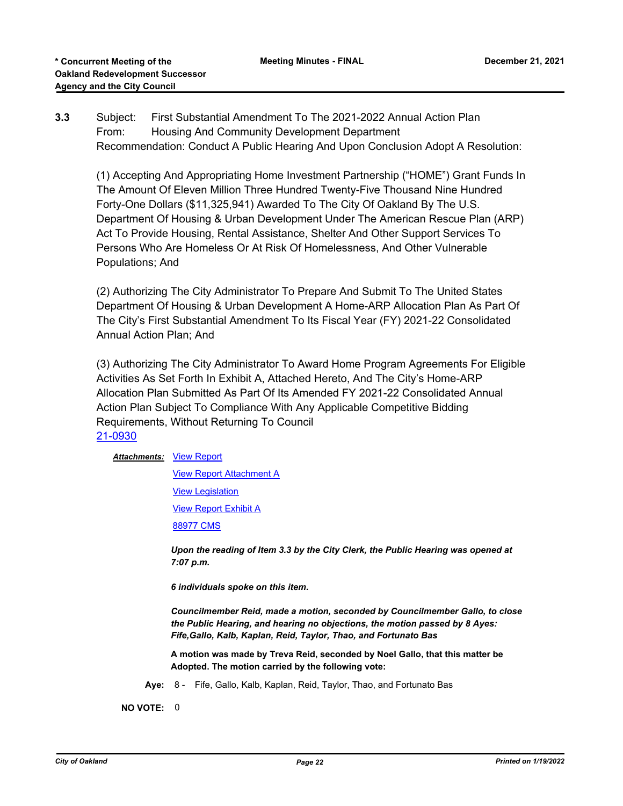# **3.3** Subject: First Substantial Amendment To The 2021-2022 Annual Action Plan From: Housing And Community Development Department Recommendation: Conduct A Public Hearing And Upon Conclusion Adopt A Resolution:

(1) Accepting And Appropriating Home Investment Partnership ("HOME") Grant Funds In The Amount Of Eleven Million Three Hundred Twenty-Five Thousand Nine Hundred Forty-One Dollars (\$11,325,941) Awarded To The City Of Oakland By The U.S. Department Of Housing & Urban Development Under The American Rescue Plan (ARP) Act To Provide Housing, Rental Assistance, Shelter And Other Support Services To Persons Who Are Homeless Or At Risk Of Homelessness, And Other Vulnerable Populations; And

(2) Authorizing The City Administrator To Prepare And Submit To The United States Department Of Housing & Urban Development A Home-ARP Allocation Plan As Part Of The City's First Substantial Amendment To Its Fiscal Year (FY) 2021-22 Consolidated Annual Action Plan; And

(3) Authorizing The City Administrator To Award Home Program Agreements For Eligible Activities As Set Forth In Exhibit A, Attached Hereto, And The City's Home-ARP Allocation Plan Submitted As Part Of Its Amended FY 2021-22 Consolidated Annual Action Plan Subject To Compliance With Any Applicable Competitive Bidding Requirements, Without Returning To Council [21-0930](http://oakland.legistar.com/gateway.aspx?m=l&id=/matter.aspx?key=32854)

#### **Attachments: [View Report](http://oakland.legistar.com/gateway.aspx?M=F&ID=33c70c75-f60a-40a7-aff6-b44cb41d1e56.pdf)**

[View Report Attachment A](http://oakland.legistar.com/gateway.aspx?M=F&ID=c3ebb346-3c65-40f8-9bf5-5b9d9bd58713.pdf)

[View Legislation](http://oakland.legistar.com/gateway.aspx?M=F&ID=80ef737b-137a-4097-b0a5-656fa86315df.pdf)

[View Report Exhibit A](http://oakland.legistar.com/gateway.aspx?M=F&ID=e7be0f6c-e725-4e94-a8ac-87fcb83b1e46.pdf)

[88977 CMS](http://oakland.legistar.com/gateway.aspx?M=F&ID=946cda58-074a-4b2c-b76b-8dacb3751c49.pdf)

*Upon the reading of Item 3.3 by the City Clerk, the Public Hearing was opened at 7:07 p.m.*

*6 individuals spoke on this item.*

*Councilmember Reid, made a motion, seconded by Councilmember Gallo, to close the Public Hearing, and hearing no objections, the motion passed by 8 Ayes: Fife,Gallo, Kalb, Kaplan, Reid, Taylor, Thao, and Fortunato Bas*

**A motion was made by Treva Reid, seconded by Noel Gallo, that this matter be Adopted. The motion carried by the following vote:**

**Aye:** 8 - Fife, Gallo, Kalb, Kaplan, Reid, Taylor, Thao, and Fortunato Bas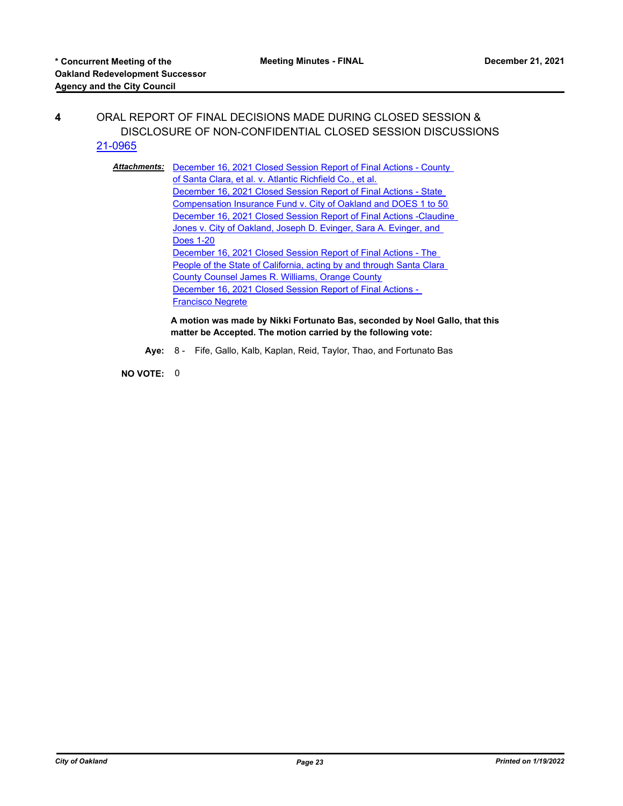# **4** ORAL REPORT OF FINAL DECISIONS MADE DURING CLOSED SESSION & DISCLOSURE OF NON-CONFIDENTIAL CLOSED SESSION DISCUSSIONS [21-0965](http://oakland.legistar.com/gateway.aspx?m=l&id=/matter.aspx?key=32889)

**Attachments:** December 16, 2021 Closed Session Report of Final Actions - County of Santa Clara, et al. v. Atlantic Richfield Co., et al. December 16, 2021 Closed Session Report of Final Actions - State [Compensation Insurance Fund v. City of Oakland and DOES 1 to 50](http://oakland.legistar.com/gateway.aspx?M=F&ID=cc6e0f9f-410f-465f-bbe2-7933528bed98.pdf) [December 16, 2021 Closed Session Report of Final Actions -Claudine](http://oakland.legistar.com/gateway.aspx?M=F&ID=ab9bde6e-7d7d-41be-bf0d-3d5ab27e564c.pdf)  Jones v. City of Oakland, Joseph D. Evinger, Sara A. Evinger, and Does 1-20 December 16, 2021 Closed Session Report of Final Actions - The [People of the State of California, acting by and through Santa Clara](http://oakland.legistar.com/gateway.aspx?M=F&ID=9f2d0ec7-8ad0-44c8-8da8-204dcf185d88.pdf)  County Counsel James R. Williams, Orange County [December 16, 2021 Closed Session Report of Final Actions -](http://oakland.legistar.com/gateway.aspx?M=F&ID=4a69f3f1-2e6e-472a-9011-5abaeb08773f.pdf)  Francisco Negrete

> **A motion was made by Nikki Fortunato Bas, seconded by Noel Gallo, that this matter be Accepted. The motion carried by the following vote:**

**Aye:** 8 - Fife, Gallo, Kalb, Kaplan, Reid, Taylor, Thao, and Fortunato Bas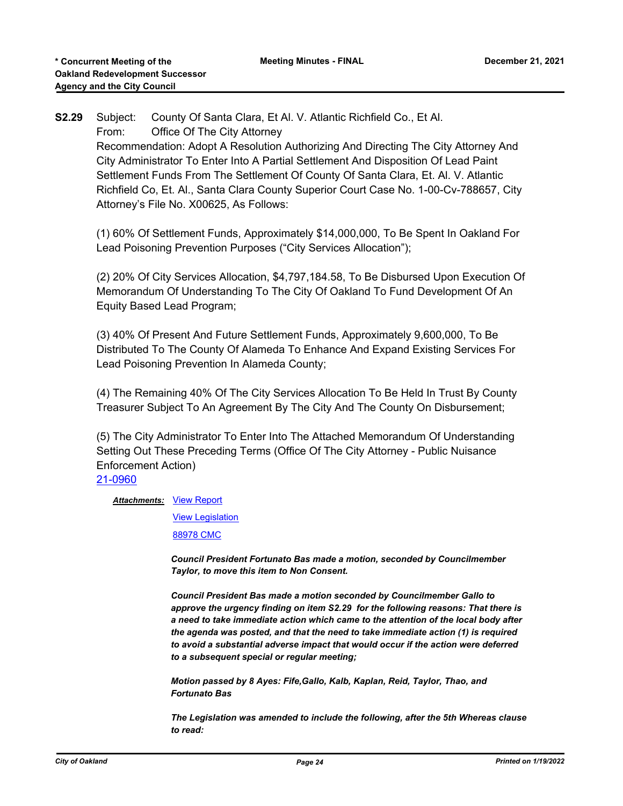**S2.29** Subject: County Of Santa Clara, Et Al. V. Atlantic Richfield Co., Et Al. From: Office Of The City Attorney Recommendation: Adopt A Resolution Authorizing And Directing The City Attorney And City Administrator To Enter Into A Partial Settlement And Disposition Of Lead Paint Settlement Funds From The Settlement Of County Of Santa Clara, Et. Al. V. Atlantic Richfield Co, Et. Al., Santa Clara County Superior Court Case No. 1-00-Cv-788657, City Attorney's File No. X00625, As Follows:

(1) 60% Of Settlement Funds, Approximately \$14,000,000, To Be Spent In Oakland For Lead Poisoning Prevention Purposes ("City Services Allocation");

(2) 20% Of City Services Allocation, \$4,797,184.58, To Be Disbursed Upon Execution Of Memorandum Of Understanding To The City Of Oakland To Fund Development Of An Equity Based Lead Program;

(3) 40% Of Present And Future Settlement Funds, Approximately 9,600,000, To Be Distributed To The County Of Alameda To Enhance And Expand Existing Services For Lead Poisoning Prevention In Alameda County;

(4) The Remaining 40% Of The City Services Allocation To Be Held In Trust By County Treasurer Subject To An Agreement By The City And The County On Disbursement;

(5) The City Administrator To Enter Into The Attached Memorandum Of Understanding Setting Out These Preceding Terms (Office Of The City Attorney - Public Nuisance Enforcement Action)

#### [21-0960](http://oakland.legistar.com/gateway.aspx?m=l&id=/matter.aspx?key=32884)

#### **Attachments: [View Report](http://oakland.legistar.com/gateway.aspx?M=F&ID=19f32d19-217d-486c-970d-6e7867cf97ee.PDF)**

[View Legislation](http://oakland.legistar.com/gateway.aspx?M=F&ID=a7455f25-812c-463f-8cf1-f411c8ca5f38.PDF)

[88978 CMC](http://oakland.legistar.com/gateway.aspx?M=F&ID=3d71ecf7-350b-482e-84d5-dfe62b419b8a.pdf)

*Council President Fortunato Bas made a motion, seconded by Councilmember Taylor, to move this item to Non Consent.*

*Council President Bas made a motion seconded by Councilmember Gallo to approve the urgency finding on item S2.29 for the following reasons: That there is a need to take immediate action which came to the attention of the local body after the agenda was posted, and that the need to take immediate action (1) is required to avoid a substantial adverse impact that would occur if the action were deferred to a subsequent special or regular meeting;*

*Motion passed by 8 Ayes: Fife,Gallo, Kalb, Kaplan, Reid, Taylor, Thao, and Fortunato Bas*

*The Legislation was amended to include the following, after the 5th Whereas clause to read:*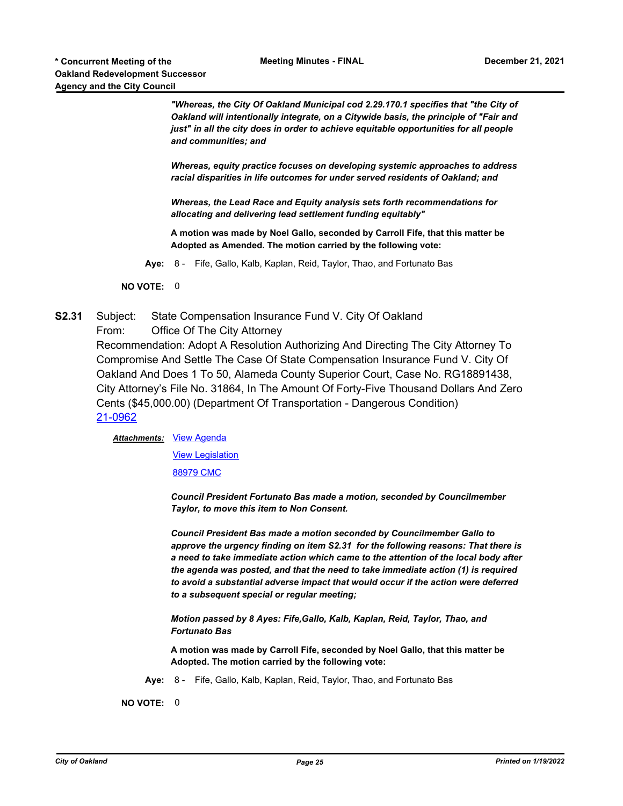*"Whereas, the City Of Oakland Municipal cod 2.29.170.1 specifies that "the City of Oakland will intentionally integrate, on a Citywide basis, the principle of "Fair and just*" in all the city does in order to achieve equitable opportunities for all people *and communities; and* 

*Whereas, equity practice focuses on developing systemic approaches to address racial disparities in life outcomes for under served residents of Oakland; and*

*Whereas, the Lead Race and Equity analysis sets forth recommendations for allocating and delivering lead settlement funding equitably"*

**A motion was made by Noel Gallo, seconded by Carroll Fife, that this matter be Adopted as Amended. The motion carried by the following vote:**

**Aye:** 8 - Fife, Gallo, Kalb, Kaplan, Reid, Taylor, Thao, and Fortunato Bas

**NO VOTE:** 0

**S2.31** Subject: State Compensation Insurance Fund V. City Of Oakland From: Office Of The City Attorney Recommendation: Adopt A Resolution Authorizing And Directing The City Attorney To Compromise And Settle The Case Of State Compensation Insurance Fund V. City Of Oakland And Does 1 To 50, Alameda County Superior Court, Case No. RG18891438, City Attorney's File No. 31864, In The Amount Of Forty-Five Thousand Dollars And Zero Cents (\$45,000.00) (Department Of Transportation - Dangerous Condition) [21-0962](http://oakland.legistar.com/gateway.aspx?m=l&id=/matter.aspx?key=32886)

Attachments: [View Agenda](http://oakland.legistar.com/gateway.aspx?M=F&ID=90e6d07f-6b66-4c17-aab7-f598e9781925.PDF)

[View Legislation](http://oakland.legistar.com/gateway.aspx?M=F&ID=3dc4f0b4-b6a0-4b86-93ea-2da04a72ecc4.PDF)

[88979 CMC](http://oakland.legistar.com/gateway.aspx?M=F&ID=cf43449a-1d63-424a-bfe8-b81b67fcbcd5.pdf)

*Council President Fortunato Bas made a motion, seconded by Councilmember Taylor, to move this item to Non Consent.*

*Council President Bas made a motion seconded by Councilmember Gallo to approve the urgency finding on item S2.31 for the following reasons: That there is a need to take immediate action which came to the attention of the local body after the agenda was posted, and that the need to take immediate action (1) is required to avoid a substantial adverse impact that would occur if the action were deferred to a subsequent special or regular meeting;*

*Motion passed by 8 Ayes: Fife,Gallo, Kalb, Kaplan, Reid, Taylor, Thao, and Fortunato Bas*

**A motion was made by Carroll Fife, seconded by Noel Gallo, that this matter be Adopted. The motion carried by the following vote:**

**Aye:** 8 - Fife, Gallo, Kalb, Kaplan, Reid, Taylor, Thao, and Fortunato Bas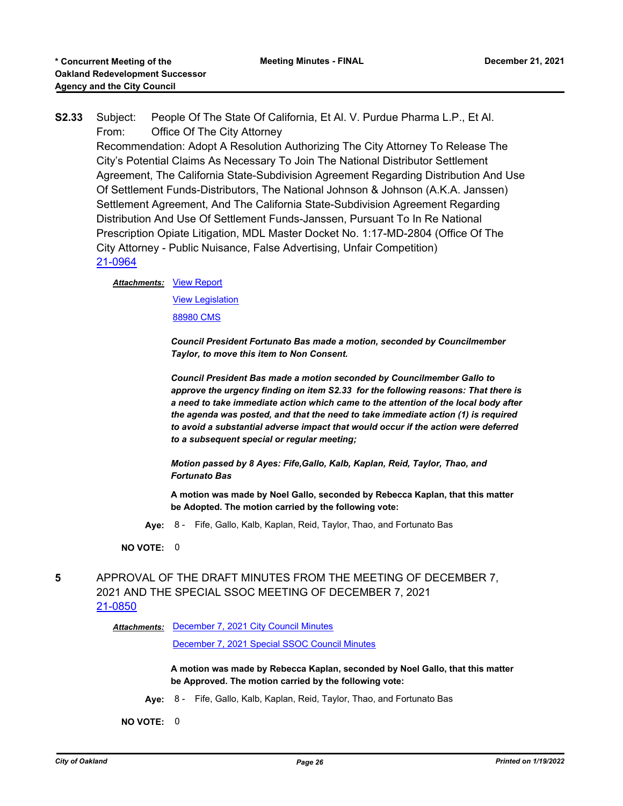**S2.33** Subject: People Of The State Of California, Et Al. V. Purdue Pharma L.P., Et Al. From: Office Of The City Attorney

Recommendation: Adopt A Resolution Authorizing The City Attorney To Release The City's Potential Claims As Necessary To Join The National Distributor Settlement Agreement, The California State-Subdivision Agreement Regarding Distribution And Use Of Settlement Funds-Distributors, The National Johnson & Johnson (A.K.A. Janssen) Settlement Agreement, And The California State-Subdivision Agreement Regarding Distribution And Use Of Settlement Funds-Janssen, Pursuant To In Re National Prescription Opiate Litigation, MDL Master Docket No. 1:17-MD-2804 (Office Of The City Attorney - Public Nuisance, False Advertising, Unfair Competition) [21-0964](http://oakland.legistar.com/gateway.aspx?m=l&id=/matter.aspx?key=32888)

#### **Attachments: [View Report](http://oakland.legistar.com/gateway.aspx?M=F&ID=ab350902-b42b-4683-b3a1-bbe7309ef472.PDF)**

[View Legislation](http://oakland.legistar.com/gateway.aspx?M=F&ID=d3c580d5-aacf-4121-8326-b6f438f76c1b.PDF)

[88980 CMS](http://oakland.legistar.com/gateway.aspx?M=F&ID=bbc33571-fb4e-47ed-9f07-d4d73053ade8.pdf)

*Council President Fortunato Bas made a motion, seconded by Councilmember Taylor, to move this item to Non Consent.*

*Council President Bas made a motion seconded by Councilmember Gallo to approve the urgency finding on item S2.33 for the following reasons: That there is a need to take immediate action which came to the attention of the local body after the agenda was posted, and that the need to take immediate action (1) is required to avoid a substantial adverse impact that would occur if the action were deferred to a subsequent special or regular meeting;*

*Motion passed by 8 Ayes: Fife,Gallo, Kalb, Kaplan, Reid, Taylor, Thao, and Fortunato Bas*

**A motion was made by Noel Gallo, seconded by Rebecca Kaplan, that this matter be Adopted. The motion carried by the following vote:**

**Aye:** 8 - Fife, Gallo, Kalb, Kaplan, Reid, Taylor, Thao, and Fortunato Bas

**NO VOTE:** 0

**5** APPROVAL OF THE DRAFT MINUTES FROM THE MEETING OF DECEMBER 7, 2021 AND THE SPECIAL SSOC MEETING OF DECEMBER 7, 2021 [21-0850](http://oakland.legistar.com/gateway.aspx?m=l&id=/matter.aspx?key=32775)

Attachments: [December 7, 2021 City Council Minutes](http://oakland.legistar.com/gateway.aspx?M=F&ID=d3165dd7-6563-4db3-9f2b-edc252e12497.pdf)

[December 7, 2021 Special SSOC Council Minutes](http://oakland.legistar.com/gateway.aspx?M=F&ID=eba7c95e-5fa0-42b9-b8c2-b7e7e163a50e.pdf)

**A motion was made by Rebecca Kaplan, seconded by Noel Gallo, that this matter be Approved. The motion carried by the following vote:**

**Aye:** 8 - Fife, Gallo, Kalb, Kaplan, Reid, Taylor, Thao, and Fortunato Bas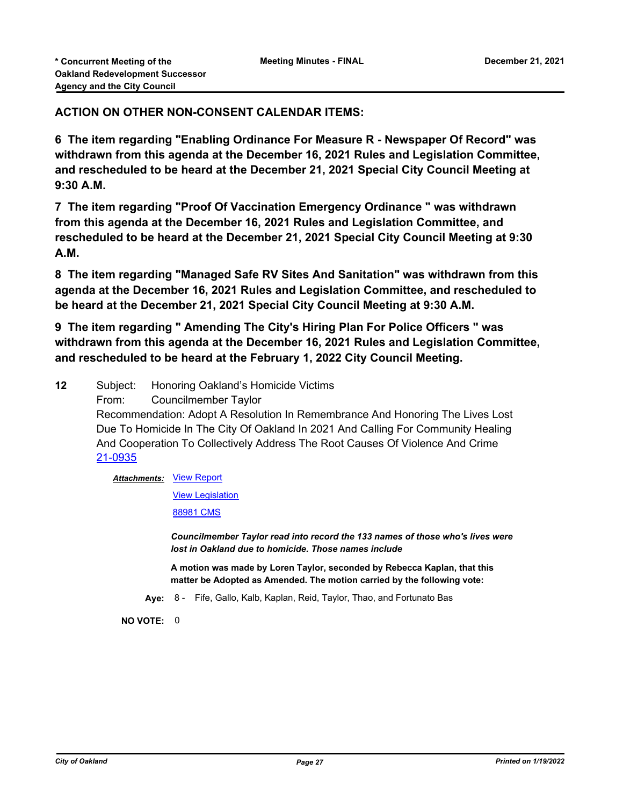# **ACTION ON OTHER NON-CONSENT CALENDAR ITEMS:**

**6 The item regarding "Enabling Ordinance For Measure R - Newspaper Of Record" was withdrawn from this agenda at the December 16, 2021 Rules and Legislation Committee, and rescheduled to be heard at the December 21, 2021 Special City Council Meeting at 9:30 A.M.**

**7 The item regarding "Proof Of Vaccination Emergency Ordinance " was withdrawn from this agenda at the December 16, 2021 Rules and Legislation Committee, and rescheduled to be heard at the December 21, 2021 Special City Council Meeting at 9:30 A.M.**

**8 The item regarding "Managed Safe RV Sites And Sanitation" was withdrawn from this agenda at the December 16, 2021 Rules and Legislation Committee, and rescheduled to be heard at the December 21, 2021 Special City Council Meeting at 9:30 A.M.**

**9 The item regarding " Amending The City's Hiring Plan For Police Officers " was withdrawn from this agenda at the December 16, 2021 Rules and Legislation Committee, and rescheduled to be heard at the February 1, 2022 City Council Meeting.**

**12** Subject: Honoring Oakland's Homicide Victims

From: Councilmember Taylor

Recommendation: Adopt A Resolution In Remembrance And Honoring The Lives Lost Due To Homicide In The City Of Oakland In 2021 And Calling For Community Healing And Cooperation To Collectively Address The Root Causes Of Violence And Crime [21-0935](http://oakland.legistar.com/gateway.aspx?m=l&id=/matter.aspx?key=32859)

#### **Attachments: [View Report](http://oakland.legistar.com/gateway.aspx?M=F&ID=6c8633a7-c2af-459b-a253-f1b6fb4f13bf.pdf)**

[View Legislation](http://oakland.legistar.com/gateway.aspx?M=F&ID=1afc5bf1-a16b-43f8-b034-0bbe79402aef.pdf)

[88981 CMS](http://oakland.legistar.com/gateway.aspx?M=F&ID=99ee7714-9f9d-4b04-83f3-0821e60abee1.pdf)

*Councilmember Taylor read into record the 133 names of those who's lives were lost in Oakland due to homicide. Those names include*

**A motion was made by Loren Taylor, seconded by Rebecca Kaplan, that this matter be Adopted as Amended. The motion carried by the following vote:**

**Aye:** 8 - Fife, Gallo, Kalb, Kaplan, Reid, Taylor, Thao, and Fortunato Bas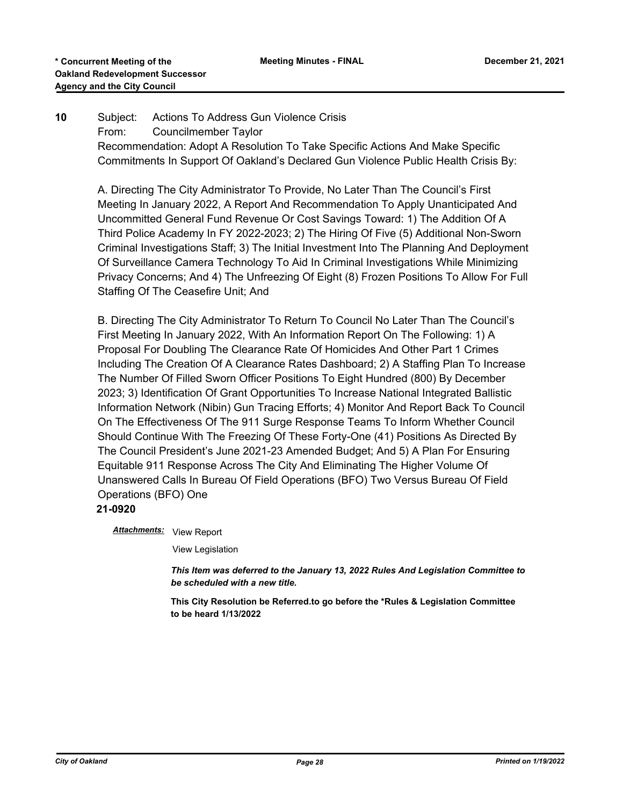# **10** Subject: Actions To Address Gun Violence Crisis From: Councilmember Taylor Recommendation: Adopt A Resolution To Take Specific Actions And Make Specific Commitments In Support Of Oakland's Declared Gun Violence Public Health Crisis By:

A. Directing The City Administrator To Provide, No Later Than The Council's First Meeting In January 2022, A Report And Recommendation To Apply Unanticipated And Uncommitted General Fund Revenue Or Cost Savings Toward: 1) The Addition Of A Third Police Academy In FY 2022-2023; 2) The Hiring Of Five (5) Additional Non-Sworn Criminal Investigations Staff; 3) The Initial Investment Into The Planning And Deployment Of Surveillance Camera Technology To Aid In Criminal Investigations While Minimizing Privacy Concerns; And 4) The Unfreezing Of Eight (8) Frozen Positions To Allow For Full Staffing Of The Ceasefire Unit; And

B. Directing The City Administrator To Return To Council No Later Than The Council's First Meeting In January 2022, With An Information Report On The Following: 1) A Proposal For Doubling The Clearance Rate Of Homicides And Other Part 1 Crimes Including The Creation Of A Clearance Rates Dashboard; 2) A Staffing Plan To Increase The Number Of Filled Sworn Officer Positions To Eight Hundred (800) By December 2023; 3) Identification Of Grant Opportunities To Increase National Integrated Ballistic Information Network (Nibin) Gun Tracing Efforts; 4) Monitor And Report Back To Council On The Effectiveness Of The 911 Surge Response Teams To Inform Whether Council Should Continue With The Freezing Of These Forty-One (41) Positions As Directed By The Council President's June 2021-23 Amended Budget; And 5) A Plan For Ensuring Equitable 911 Response Across The City And Eliminating The Higher Volume Of Unanswered Calls In Bureau Of Field Operations (BFO) Two Versus Bureau Of Field Operations (BFO) One

**21-0920**

Attachments: View Report

View Legislation

*This Item was deferred to the January 13, 2022 Rules And Legislation Committee to be scheduled with a new title.*

**This City Resolution be Referred.to go before the \*Rules & Legislation Committee to be heard 1/13/2022**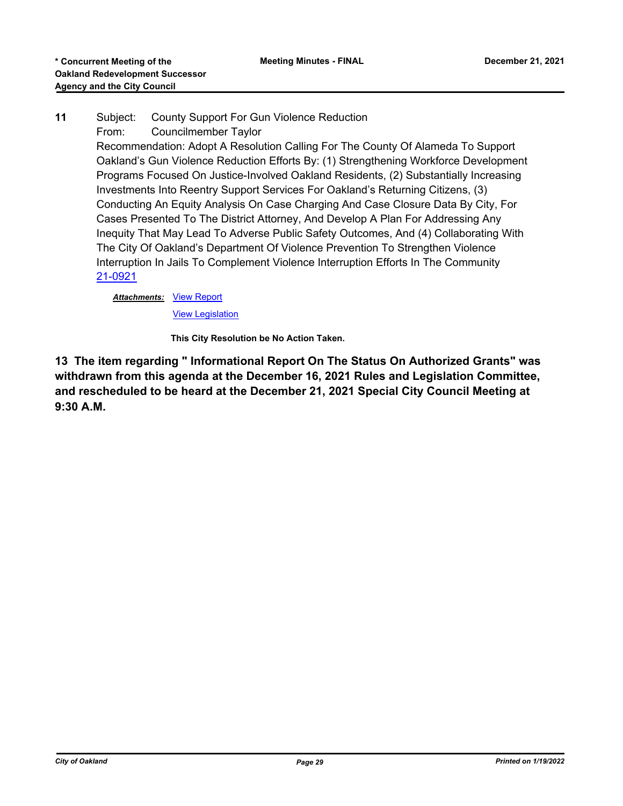## **11** Subject: County Support For Gun Violence Reduction From: Councilmember Taylor

Recommendation: Adopt A Resolution Calling For The County Of Alameda To Support Oakland's Gun Violence Reduction Efforts By: (1) Strengthening Workforce Development Programs Focused On Justice-Involved Oakland Residents, (2) Substantially Increasing Investments Into Reentry Support Services For Oakland's Returning Citizens, (3) Conducting An Equity Analysis On Case Charging And Case Closure Data By City, For Cases Presented To The District Attorney, And Develop A Plan For Addressing Any Inequity That May Lead To Adverse Public Safety Outcomes, And (4) Collaborating With The City Of Oakland's Department Of Violence Prevention To Strengthen Violence Interruption In Jails To Complement Violence Interruption Efforts In The Community [21-0921](http://oakland.legistar.com/gateway.aspx?m=l&id=/matter.aspx?key=32845)

## **Attachments: [View Report](http://oakland.legistar.com/gateway.aspx?M=F&ID=07b06140-b019-4fff-8261-947c6767e91b.pdf)**

[View Legislation](http://oakland.legistar.com/gateway.aspx?M=F&ID=4cc4dd3d-706e-4b63-b460-75e89c5ba4bf.pdf)

**This City Resolution be No Action Taken.**

**13 The item regarding " Informational Report On The Status On Authorized Grants" was withdrawn from this agenda at the December 16, 2021 Rules and Legislation Committee, and rescheduled to be heard at the December 21, 2021 Special City Council Meeting at 9:30 A.M.**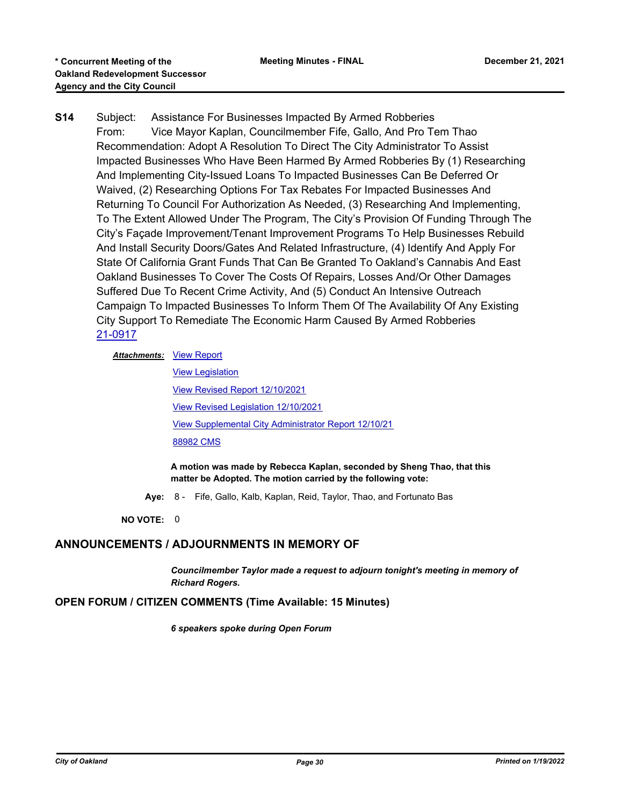**S14** Subject: Assistance For Businesses Impacted By Armed Robberies From: Vice Mayor Kaplan, Councilmember Fife, Gallo, And Pro Tem Thao Recommendation: Adopt A Resolution To Direct The City Administrator To Assist Impacted Businesses Who Have Been Harmed By Armed Robberies By (1) Researching And Implementing City-Issued Loans To Impacted Businesses Can Be Deferred Or Waived, (2) Researching Options For Tax Rebates For Impacted Businesses And Returning To Council For Authorization As Needed, (3) Researching And Implementing, To The Extent Allowed Under The Program, The City's Provision Of Funding Through The City's Façade Improvement/Tenant Improvement Programs To Help Businesses Rebuild And Install Security Doors/Gates And Related Infrastructure, (4) Identify And Apply For State Of California Grant Funds That Can Be Granted To Oakland's Cannabis And East Oakland Businesses To Cover The Costs Of Repairs, Losses And/Or Other Damages Suffered Due To Recent Crime Activity, And (5) Conduct An Intensive Outreach Campaign To Impacted Businesses To Inform Them Of The Availability Of Any Existing City Support To Remediate The Economic Harm Caused By Armed Robberies [21-0917](http://oakland.legistar.com/gateway.aspx?m=l&id=/matter.aspx?key=32841)

**Attachments: [View Report](http://oakland.legistar.com/gateway.aspx?M=F&ID=7cc6f38b-b610-47e1-89ad-4d254f27ec91.pdf)** 

[View Legislation](http://oakland.legistar.com/gateway.aspx?M=F&ID=9141e6f8-552e-4567-aaf5-5b65e8a8aa9f.PDF) [View Revised Report 12/10/2021](http://oakland.legistar.com/gateway.aspx?M=F&ID=21b5f34d-a388-4540-93a8-a86b16f34c35.pdf) [View Revised Legislation 12/10/2021](http://oakland.legistar.com/gateway.aspx?M=F&ID=195c772e-ebbc-4745-ad7c-a50962388f48.PDF) [View Supplemental City Administrator Report 12/10/21](http://oakland.legistar.com/gateway.aspx?M=F&ID=4201d026-c723-41b6-bf85-2685c6fa014a.pdf) [88982 CMS](http://oakland.legistar.com/gateway.aspx?M=F&ID=ca7737a9-bd6f-4b6b-832b-e22c874886ae.pdf)

**A motion was made by Rebecca Kaplan, seconded by Sheng Thao, that this matter be Adopted. The motion carried by the following vote:**

**Aye:** 8 - Fife, Gallo, Kalb, Kaplan, Reid, Taylor, Thao, and Fortunato Bas

**NO VOTE:** 0

# **ANNOUNCEMENTS / ADJOURNMENTS IN MEMORY OF**

*Councilmember Taylor made a request to adjourn tonight's meeting in memory of Richard Rogers.*

#### **OPEN FORUM / CITIZEN COMMENTS (Time Available: 15 Minutes)**

*6 speakers spoke during Open Forum*